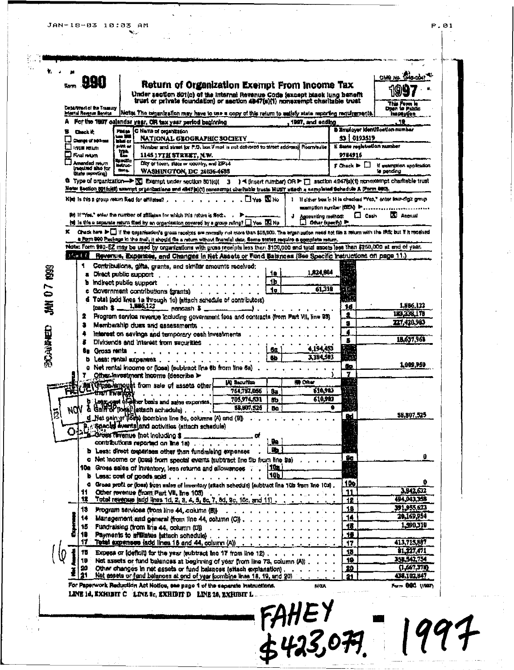JAN-18-03 10:03 AM<br>منافع

| .990<br><b>Som</b>                                       | Return of Organization Exempt From Income Tax                                                                                                                                                                                                                                                                   |                                                                | OMB No. 1345-0047                                              |
|----------------------------------------------------------|-----------------------------------------------------------------------------------------------------------------------------------------------------------------------------------------------------------------------------------------------------------------------------------------------------------------|----------------------------------------------------------------|----------------------------------------------------------------|
|                                                          | Under section 501(c) of the Internal Revenue Code (except black lung benefit<br>trust or private foundation) or section 4947(s)(1) nonexempt charitable trust                                                                                                                                                   |                                                                |                                                                |
| Department of the Treasury<br>internal Plevenue Bervice. | Note: The nigenization may have to use a copy of this return to satisfy state reporting requirements.                                                                                                                                                                                                           |                                                                | This Porce in<br>inspertion                                    |
|                                                          | For the 1997 calendar year, OR tax year period beginning<br>1997, and ending                                                                                                                                                                                                                                    |                                                                | 55<br><b>D Employer Identification number</b>                  |
| Check it:<br>Change of soldiers                          | Please C Nama of organization<br>گاڑ سا<br><b>NATIONAL GEOGRAPHIC SOCIETY</b><br><b>What</b> or                                                                                                                                                                                                                 | 53 : 0193519                                                   |                                                                |
| Investment network<br>$\square$ final mayor              | print or<br>Number and street for P.O. box if mail is not delivered to street address) Room/suite<br>$\mathbf{T}^*$<br>1145 17TH STREET, N.W.                                                                                                                                                                   | It tests registration number<br>9784916                        |                                                                |
| Amended return<br>Intentive also for<br>Glase (econtric) | anschip<br>Dity or town, state or country, and ZIP+4<br>indruo-<br>tions.<br><b>WASHINGTON, DC 20036-4688</b>                                                                                                                                                                                                   | $\mathbf{F}$ Check $\blacktriangleright \Box$                  | If examption application<br>ie pending                         |
|                                                          | G Type of organization-> ES Exempt under section 501(c)( 3 ) < (insert number) OR > E section 4947(a)(1) nonexempt charitable trust                                                                                                                                                                             |                                                                |                                                                |
|                                                          | Notes Section 501(c)(3) exempt organizations and 4347(e)(1) noves ampt cheritable trusts MUST attach a completed Schedule A Form 980,<br>$\blacksquare$ Ym $\blacksquare$ Ny<br>Kind is this a group return flied for affiliates?                                                                               |                                                                | 1 If either best in H is checked "Yes," onter teur-digit group |
|                                                          | to) if "Yes," sales the number of affiliates for which this return is fled;<br>J Accounting method:                                                                                                                                                                                                             | examption number (CIEN) Pressures assessment<br>$\square$ Cash | <b>X</b> Accruat                                               |
|                                                          | (a) Is the a separate return filed by an organization covered by a group ruling? I Yea IAI No<br>Other (specify) in<br>K Chack here $\blacktriangleright\Box$ if the organisation's gross-receipts are nomelly not nore than \$25,000. The organization need not file a return with the IRS; but if it received |                                                                |                                                                |
|                                                          | a Form 990 Package in the mail, it should fie a return without financial data, florne states require a complete return.<br>Note: Form 990-EZ may be used by organizations with gross receipts less than \$100,000 and total assets less than \$250,000 at end of year.                                          |                                                                |                                                                |
| <b>Branch</b>                                            | Revenue, Expensee, and Changes in Net Assets or Fund Balances (See Specific Instructions on page 11.)                                                                                                                                                                                                           |                                                                |                                                                |
| 1.                                                       | Contributions, gifts, grants, and similar amounts received:                                                                                                                                                                                                                                                     |                                                                |                                                                |
|                                                          | 1,824,804<br>۹o<br>a Diract public support<br>1b<br><b>b</b> indirect public support                                                                                                                                                                                                                            |                                                                |                                                                |
|                                                          | 61.318<br>٦o<br>c Government contributions (grants)<br><b>All All Andrews</b>                                                                                                                                                                                                                                   |                                                                |                                                                |
|                                                          | d Total (add lines to through 10) (attach schedule of contributors)<br>$\tan 5 - 1.896,122$<br>noncash \$                                                                                                                                                                                                       | a.<br>1d                                                       | 1,866,122                                                      |
| 2.                                                       | Program service revenue including government fees and contracts (from Part VII, line 93)                                                                                                                                                                                                                        | 2                                                              | 123.338,178                                                    |
|                                                          | Membarship dues and assessments.                                                                                                                                                                                                                                                                                | 5<br>4                                                         | 227.420.983                                                    |
|                                                          | Interest on savings and temporary cash investments<br>Dividends and interest from securities                                                                                                                                                                                                                    | Б                                                              | 18,657,968                                                     |
|                                                          | 4 194 453<br>6s<br><b>Gui Gross rentains in the Corporation</b><br>3,184,503                                                                                                                                                                                                                                    |                                                                |                                                                |
|                                                          | 8b<br>Less: rental expenses.<br>c Net rental income or (loss) (subtract line 6b from line 6a)                                                                                                                                                                                                                   | Sp.                                                            | 1,009,950                                                      |
|                                                          | Offrex investment income (describe >                                                                                                                                                                                                                                                                            | 7                                                              |                                                                |
| than Five M                                              | <b>ID One</b><br><b>UQ Securities</b><br><b>All (Gross lamount from sale of assets other)</b><br>610.913<br>764,792,056<br>âa                                                                                                                                                                                   |                                                                |                                                                |
|                                                          | 705,974,531<br>610.903<br>ßb.<br>b Long one of plan basis and sales expenses.<br>& Galif of (long) (attach schedule)                                                                                                                                                                                            |                                                                |                                                                |
| ΝW<br>凰                                                  | 58,807,525<br>Bo<br>d_Net gain of (losp) (combine line 8c, columns (A) and (B)                                                                                                                                                                                                                                  | ۰                                                              | 58,807,525                                                     |
|                                                          | B. Special events and activities (attach schadule)                                                                                                                                                                                                                                                              |                                                                |                                                                |
|                                                          | Le Gross fevenue (not including \$                                                                                                                                                                                                                                                                              |                                                                |                                                                |
|                                                          | ÷.<br>contributions reported on line 1a)<br>ъ<br>b Less: direct concrises other than fundrating expenses                                                                                                                                                                                                        |                                                                |                                                                |
|                                                          | o Net income or (loss) from special events isubtract line 9b from line 8a)                                                                                                                                                                                                                                      | Be                                                             | 0                                                              |
|                                                          | 1101<br>10a Gross sales of inventory, less returns and allowances<br>10b<br><b>b</b> Least cost of goods sold, , , , , , , ,                                                                                                                                                                                    |                                                                |                                                                |
|                                                          | G Gross profit or (loss) from sales of inventory (attach schedule) (subtract line 10b from line 10s).                                                                                                                                                                                                           | <u> 10e</u>                                                    |                                                                |
| 11<br>18                                                 | Other revenue (from Part VII, line 103)<br>$\mathbf{z}$ , we are assumed to the set of $\mathbf{z}$<br>Total revenue (add lines 1d, 2, 3, 4, 5, 6c, 7, 8d, 9c, 10c, and 11).                                                                                                                                    | 11<br>12                                                       | 3,942,632<br>494,943,358                                       |
| 13                                                       | Program services (from line 44, column (8) $\cdots$                                                                                                                                                                                                                                                             | 18                                                             | 391,955,623                                                    |
|                                                          | Management and general (from line 44, column (C))                                                                                                                                                                                                                                                               | 14                                                             | 20,169,954<br>1,590,310                                        |
| 18.                                                      | 15 Fundraising (from line 44, column (D))<br>Payments to affiliates attach schedule)                                                                                                                                                                                                                            | 18<br>18                                                       |                                                                |
| 17 :                                                     | Total expenses (add lines 18 and 44, column (A))                                                                                                                                                                                                                                                                | 17                                                             | 413,715,887                                                    |
| 10                                                       | Excess or (deficit) for the year (subtract line 17 from line 12)                                                                                                                                                                                                                                                | 13<br>19                                                       | 81,227,471<br>358, 542, 754                                    |
|                                                          | 19 Net assets or fund belances at beginning of year from line 73, column (A))<br>20 Other changes in net assets or fund balances (attach explanation).                                                                                                                                                          | 20.                                                            | (1,667,37)                                                     |
|                                                          | Net assets or fund belances at and of year foombine lines 18, 19, and 20)                                                                                                                                                                                                                                       | 21                                                             | 438,102,847                                                    |
|                                                          | For Psperwork Reduction Act Notice, see page 1 of the separate instructions.<br><b>NOA</b><br>LINE 1d, EXHIBIT C LINE 8c, EXHIBIT D LINE 26, EXHIBIT L                                                                                                                                                          |                                                                | Form BBC (1987)                                                |
|                                                          | $FAHEY\n\n£423,079$                                                                                                                                                                                                                                                                                             |                                                                |                                                                |
|                                                          |                                                                                                                                                                                                                                                                                                                 |                                                                |                                                                |
|                                                          |                                                                                                                                                                                                                                                                                                                 |                                                                |                                                                |
|                                                          |                                                                                                                                                                                                                                                                                                                 |                                                                |                                                                |

 $\label{eq:2} \frac{1}{2} \sum_{i=1}^n \frac{1}{2} \sum_{i=1}^n \frac{1}{2} \sum_{i=1}^n \frac{1}{2} \sum_{i=1}^n \frac{1}{2} \sum_{i=1}^n \frac{1}{2} \sum_{i=1}^n \frac{1}{2} \sum_{i=1}^n \frac{1}{2} \sum_{i=1}^n \frac{1}{2} \sum_{i=1}^n \frac{1}{2} \sum_{i=1}^n \frac{1}{2} \sum_{i=1}^n \frac{1}{2} \sum_{i=1}^n \frac{1}{2} \sum_{i=1}^n \frac{1}{$ 

 $P.01$  $\mathbf{1}$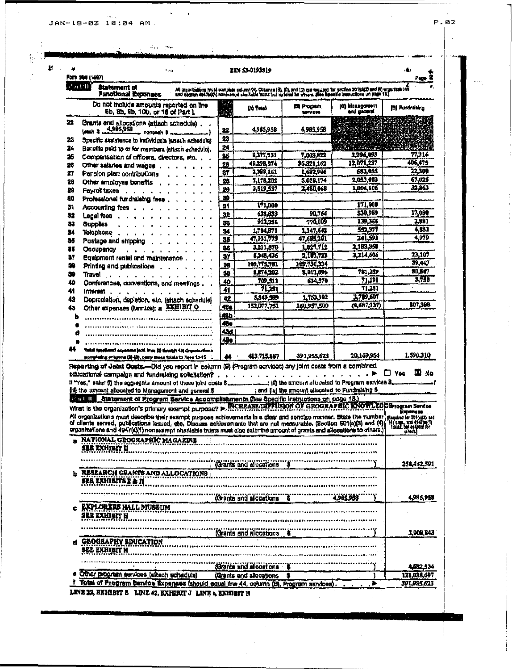$\sim$   $\,$ 

ÿ.

 $\bar{\mathbf{r}}$ 

 $\sim 10^{11}$   $\sim 10^{11}$ 

|               | $\mathcal{P}_{\mathcal{M},\mathcal{M}}$<br>Form 940 (1997)                                                                                                                                                                                                                                                                                                                                |                       | IIN 53-0193519                              |                                                   |                                                                                                                                                                                                                                  | Page                                                            |
|---------------|-------------------------------------------------------------------------------------------------------------------------------------------------------------------------------------------------------------------------------------------------------------------------------------------------------------------------------------------------------------------------------------------|-----------------------|---------------------------------------------|---------------------------------------------------|----------------------------------------------------------------------------------------------------------------------------------------------------------------------------------------------------------------------------------|-----------------------------------------------------------------|
| <u>lun un</u> | <b>Biatement of</b><br>Functional Experienc                                                                                                                                                                                                                                                                                                                                               |                       |                                             |                                                   | Ali organžalions frusk complete column (4). Columns (8), 10), pro (0) are required for pocken 2019(1) and (4) organizations<br>and anchor 484700(1) ronekompli shoriable busts but opforal har etnam. (See Boentic imaradione on |                                                                 |
|               | Do not include amounts reported on the<br>6b, 8b, 9b, 10b, or 18 of Part 1                                                                                                                                                                                                                                                                                                                | y.                    | Al Telel                                    | <b>Program</b><br><b>TA</b> VACIA                 | iti) Management<br>and gamme                                                                                                                                                                                                     | (D) Pundraising                                                 |
| 22            | Grants and allocations (attach schadule).<br>(cash 3 4,985,958<br>monesen &                                                                                                                                                                                                                                                                                                               | 22                    | 4.985,958                                   | 4.985.958                                         |                                                                                                                                                                                                                                  |                                                                 |
| 23            | Specific staintance to individuals (attach schedule)                                                                                                                                                                                                                                                                                                                                      | 23                    |                                             |                                                   |                                                                                                                                                                                                                                  |                                                                 |
| 24            | Bersills paid to or for members (attach achedule).                                                                                                                                                                                                                                                                                                                                        | 24                    |                                             |                                                   |                                                                                                                                                                                                                                  |                                                                 |
| 26            | Compensation of officers, directors, etc.,                                                                                                                                                                                                                                                                                                                                                | 25                    | 9.377.231                                   | 7,003,822                                         | 2.296,093                                                                                                                                                                                                                        | 77,316                                                          |
| 28            | Other salaries and wages'.                                                                                                                                                                                                                                                                                                                                                                | 26                    | 49.298.874                                  | 36,821,162                                        | 12,071,237                                                                                                                                                                                                                       | 406,475                                                         |
| 27            | Pension plan contributions                                                                                                                                                                                                                                                                                                                                                                | 27                    | 2399.261                                    | 1,682,906                                         | 683,055                                                                                                                                                                                                                          | 22.300                                                          |
| 28            | Other employee benefits                                                                                                                                                                                                                                                                                                                                                                   | 23                    | 7,178,202                                   | 5.056.174                                         | 2,053,083                                                                                                                                                                                                                        | 67,025                                                          |
| 29            | <b>Fayrol taxes</b>                                                                                                                                                                                                                                                                                                                                                                       | 29                    | 3,519,537                                   | 2,480,068                                         | 1,006,606                                                                                                                                                                                                                        | 32,863                                                          |
| 80            | Professional fundralsing fees                                                                                                                                                                                                                                                                                                                                                             | 30                    |                                             |                                                   |                                                                                                                                                                                                                                  |                                                                 |
| 31            | Accounting fees.                                                                                                                                                                                                                                                                                                                                                                          | 81                    | 171,000                                     |                                                   | 171.000<br>530,989                                                                                                                                                                                                               | 17,000                                                          |
| 32            | Legal foos .                                                                                                                                                                                                                                                                                                                                                                              | 32                    | 638.833<br>912,256                          | 90.764<br>770.009                                 | 139.36+                                                                                                                                                                                                                          | 2,881                                                           |
| 33            | <b>Supplies</b>                                                                                                                                                                                                                                                                                                                                                                           | 53                    | 1,704,871                                   | 1,147,642                                         | 552.377                                                                                                                                                                                                                          | 4831                                                            |
| м             | Talaphone                                                                                                                                                                                                                                                                                                                                                                                 | 34<br>56              | 47,931,773                                  | 47,685,201                                        | 241.593                                                                                                                                                                                                                          | 4,979                                                           |
| 85            | Postage and shipping                                                                                                                                                                                                                                                                                                                                                                      | 36                    | 3,211,570                                   | 1,027,712                                         | 2,183,950                                                                                                                                                                                                                        |                                                                 |
| m             | <b>Occupancy</b>                                                                                                                                                                                                                                                                                                                                                                          |                       | 6,345,436                                   | 2.107.723                                         | 3.714,606                                                                                                                                                                                                                        | 23.107                                                          |
| 37<br>28      | Equipment rental and maintenance                                                                                                                                                                                                                                                                                                                                                          | $\overline{37}$<br>38 | 109,775,781                                 | 109, 136, 314                                     |                                                                                                                                                                                                                                  | 39,447                                                          |
| æ             | Printing and publications                                                                                                                                                                                                                                                                                                                                                                 | 59                    | 1,874,202                                   | 9,013,096                                         | 781,259                                                                                                                                                                                                                          | 80,847                                                          |
| 40            | Travel                                                                                                                                                                                                                                                                                                                                                                                    | 40                    | 709,511                                     | 634.570                                           | 71,191                                                                                                                                                                                                                           | 3,750                                                           |
| 41            | Conferences, conventions, and meetings                                                                                                                                                                                                                                                                                                                                                    | 41                    | 71,231                                      |                                                   | 71,251                                                                                                                                                                                                                           |                                                                 |
| 42            | Interest<br>Depreciation, dapletion, etc. (ettach schadule)                                                                                                                                                                                                                                                                                                                               | 42                    | 5.543.569                                   | 1,753,982                                         | 3,789,607                                                                                                                                                                                                                        |                                                                 |
| 43            | Other expenses (itemize): a EXHIBIT O                                                                                                                                                                                                                                                                                                                                                     | 436                   | 152,077,751                                 | 160,957,500                                       | Q.687.137)                                                                                                                                                                                                                       | 807,388                                                         |
| ь             |                                                                                                                                                                                                                                                                                                                                                                                           | 43b                   |                                             |                                                   |                                                                                                                                                                                                                                  |                                                                 |
| ۰             |                                                                                                                                                                                                                                                                                                                                                                                           | 496                   |                                             |                                                   |                                                                                                                                                                                                                                  |                                                                 |
|               |                                                                                                                                                                                                                                                                                                                                                                                           | 434                   |                                             |                                                   |                                                                                                                                                                                                                                  |                                                                 |
|               |                                                                                                                                                                                                                                                                                                                                                                                           | 480                   |                                             |                                                   |                                                                                                                                                                                                                                  |                                                                 |
| 44            | Takal havelined experience land free 22 through 451 Organizations<br>norry-ting columns (B)-(D), parry these totals to lines 13-15                                                                                                                                                                                                                                                        | 44                    | 413,715,887                                 | 391,955,623                                       | 20,169,954                                                                                                                                                                                                                       | 1,590,310                                                       |
|               | Reporting of Joint Costs,--Did you report in column (S) (Program services) any joint costs from a combined<br>educational campaign and fundralaing solicitation?                                                                                                                                                                                                                          |                       |                                             |                                                   |                                                                                                                                                                                                                                  | DO.<br>Yas                                                      |
|               | (iii) the amount allocated to Management and general \$<br>Hart III Statement of Program Service Accomplishments (See Specific Instructions on case 18.)<br>What is the organization's primary exempt purpose? > INCREASE/DIFFUSION OF GEOGRAPHIC IONOWLEDGE rogram Service                                                                                                               |                       |                                             | ; and (iv) the amount allocated to Fundraising \$ |                                                                                                                                                                                                                                  |                                                                 |
|               | All organizations must describe their exampt purpose achievements in a glear and concise manner. State the number manuscle stress as<br>of clients served, publications leaued, etc. Discuss achievements that are not measurable. (Section 501(c)(3) and (4)<br>organizations and 4947(a)(1) nonexampt chantable trusts must also enter the smount of grants and allocations to others.) |                       |                                             |                                                   |                                                                                                                                                                                                                                  | Expense.<br>(4) orga, and 4947(u)(1)<br>"Lusas; bed options for |
|               | NATIONAL GEOGRAPHIC MAGAZINE<br><b>SER IXHIBIT H</b>                                                                                                                                                                                                                                                                                                                                      |                       |                                             |                                                   |                                                                                                                                                                                                                                  | ahtt.)                                                          |
|               |                                                                                                                                                                                                                                                                                                                                                                                           |                       | (Grants and allocations                     |                                                   |                                                                                                                                                                                                                                  | 258.442.591                                                     |
|               | RESEARCH CRANTS AND ALLOCATIONS<br>SEE EXHIBITS E & H                                                                                                                                                                                                                                                                                                                                     |                       |                                             |                                                   |                                                                                                                                                                                                                                  |                                                                 |
|               |                                                                                                                                                                                                                                                                                                                                                                                           |                       | (Grants and allocations 6                   |                                                   | 4,985,958                                                                                                                                                                                                                        | 4,985,958                                                       |
|               | <b>EXPLORERS HALL MUSEUM</b><br>SEE EXHIBIT H                                                                                                                                                                                                                                                                                                                                             |                       |                                             |                                                   |                                                                                                                                                                                                                                  |                                                                 |
|               |                                                                                                                                                                                                                                                                                                                                                                                           |                       | (Grants and allocations \$                  |                                                   |                                                                                                                                                                                                                                  |                                                                 |
| d             | <b>GEOGRAPHY EDUCATION</b><br>SEE EXHIBIT H                                                                                                                                                                                                                                                                                                                                               |                       |                                             |                                                   |                                                                                                                                                                                                                                  |                                                                 |
|               | Other program services (attach schadule)                                                                                                                                                                                                                                                                                                                                                  |                       | <b><i><u>Granta</u></i></b> and allocations |                                                   |                                                                                                                                                                                                                                  | 2,000,043<br>452.534                                            |

 $P.82$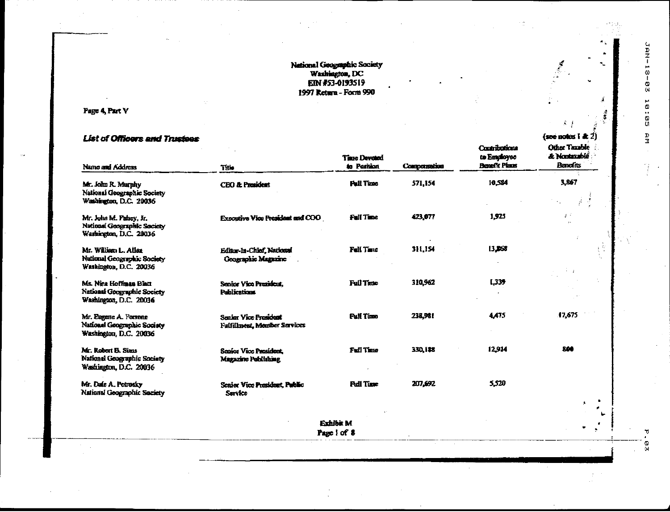## National Geographic Society<br>Washington, DC<br>EIN #53-0193519 1997 Return - Form 990

Page 4, Part V

## **List of Officers and Trustees**

| Name and Address                                                                   | Title                                                                 | <b>Time Devoted</b><br>to Parition | Compensation | Contributions<br>to Employee<br><b>Benefit Plans</b> | Other Taxable<br>& Nontaxablé<br>Barafits |
|------------------------------------------------------------------------------------|-----------------------------------------------------------------------|------------------------------------|--------------|------------------------------------------------------|-------------------------------------------|
| Mr. John R. Murphy<br>National Geographic Society<br>Washington, D.C. 20036        | <b>CEO &amp; President</b>                                            | <b>Pull Time</b>                   | 571,154      | 10.554                                               | 3,867                                     |
| Mr. John M. Pahey, Jr.<br>National Geographic Society<br>Washington, D.C. 20036    | <b>Expositive Vice President and COO</b>                              | <b>Fall Time</b>                   | 423,077      | 1.925                                                | $\mathcal{E}^{\mathcal{A}}$               |
| Mr. William L. Allax<br>National Geographic Society<br>Washington, D.C. 20036      | Editor-In-Chief, National<br><b>Geographic Magazine</b>               | Fell Tane                          | 311,154      | 13,368                                               |                                           |
| Ms. Nina Hoffman Blatt<br>National Geographic Society<br>Washington, D.C. 20036    | Senior Vice President.<br><b>Publications</b>                         | <b>Full Time</b>                   | 310,962      | 1,339                                                |                                           |
| Mr. Eugene A. Ferrone<br>National Geographic Society<br>Washington, D.C. 20036     | <b>Service Vice President</b><br><b>Fulfillment</b> , Member Services | <b>Pull Time</b>                   | 238,981      | 4.475                                                | 17,675                                    |
| Mr. Robert B. Sims<br><b>National Geographic Society</b><br>Washington, D.C. 20036 | Senior Vice President.<br>Magazine Publishing                         | Full Time                          | 330, 188     | 12.914                                               | 200                                       |
| Mr. Dafe A. Petrosky<br>National Geographic Society                                | Senior Vice President, Public<br><b>Service</b>                       | <b>Pull Time</b>                   | 207,692      | 5,520                                                |                                           |
|                                                                                    |                                                                       |                                    |              |                                                      | $\pmb{\ast}$                              |
|                                                                                    |                                                                       | Exhibit M<br>Page 1 of 8           |              |                                                      |                                           |
|                                                                                    |                                                                       |                                    |              |                                                      |                                           |

∼

 $\mathcal{S} \rightarrow$ 

 $($ soe notes i &  $2)$ 

 $\frac{\omega}{\omega}$ 

π,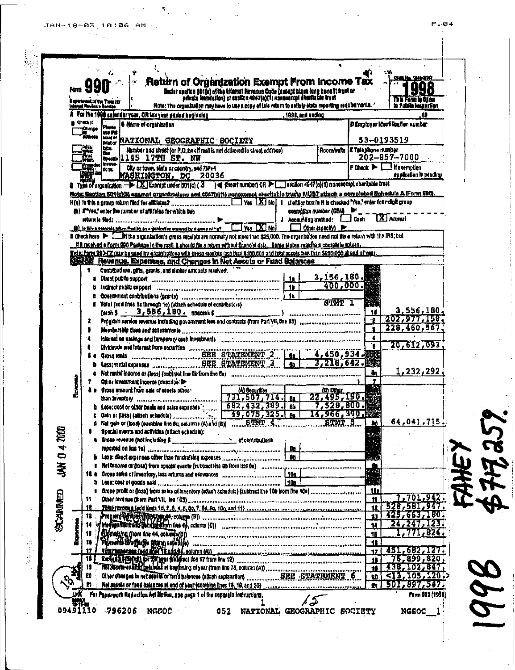JAN-18-03 10:06 AM

 $\mathbf{e}_i$ 

|    | <b>Form YY</b><br><b>Annal Roylenus Barrion</b> | Beneterons of the Youn Viv |                                      |                                                                                                                                                    |  |              |                    | dindar saolton 681(s) aftas tidarati Nevenue Coda (axeent alant long henatit suut or<br>sehuda fauntation) et sasilon 4647(a)(1) nanaampi shurtadae wust<br>Note: The organization may have to use a copy of this return to estaty state reporting requirements. *                               |                                   | Na Famil<br>ta Pulale kesas itlan                                                                                                    |  |
|----|-------------------------------------------------|----------------------------|--------------------------------------|----------------------------------------------------------------------------------------------------------------------------------------------------|--|--------------|--------------------|--------------------------------------------------------------------------------------------------------------------------------------------------------------------------------------------------------------------------------------------------------------------------------------------------|-----------------------------------|--------------------------------------------------------------------------------------------------------------------------------------|--|
|    |                                                 |                            |                                      | For the 1988 calentiar year, OR tax year period beginning                                                                                          |  |              | , 1998, and ending |                                                                                                                                                                                                                                                                                                  |                                   | 19                                                                                                                                   |  |
|    | Check It                                        |                            | G Name of organization               |                                                                                                                                                    |  |              |                    |                                                                                                                                                                                                                                                                                                  |                                   | D Employer Identification symber                                                                                                     |  |
|    | Change<br>Material                              | an M                       |                                      |                                                                                                                                                    |  |              |                    |                                                                                                                                                                                                                                                                                                  |                                   | 53-0193519                                                                                                                           |  |
|    | 7aig<br>Tagas                                   | lbas.                      |                                      | <b>MAG NATIONAL GEOGRAPHIC BOCIETY</b><br>Number and street (or P.O. box if mall is not delivered to street address)                               |  |              |                    |                                                                                                                                                                                                                                                                                                  | i Room/suite   E Talephone number |                                                                                                                                      |  |
|    | k.                                              | <b>Des</b>                 |                                      | Special145 17TH ST. NW                                                                                                                             |  |              |                    |                                                                                                                                                                                                                                                                                                  |                                   | 202-857-7000                                                                                                                         |  |
|    | <b>Bangar</b><br>Legge                          | Imm.<br><b>Items</b>       |                                      | City or town, state or country, and ZIP+4                                                                                                          |  |              |                    |                                                                                                                                                                                                                                                                                                  |                                   | F Chack $\blacktriangleright$ $\Box$ If exemption                                                                                    |  |
|    |                                                 |                            |                                      | <b>MASHINGTON, DC 20036</b>                                                                                                                        |  |              |                    |                                                                                                                                                                                                                                                                                                  |                                   | ing pilcotion is pending                                                                                                             |  |
|    |                                                 |                            |                                      |                                                                                                                                                    |  |              |                    | Q Type of organization -> X Exampt under 501(c) [ 3 } { (esset number) OR > sealion 4847(a)(1) nonexempt chartable bust                                                                                                                                                                          |                                   |                                                                                                                                      |  |
|    |                                                 |                            |                                      |                                                                                                                                                    |  |              |                    |                                                                                                                                                                                                                                                                                                  |                                   | Nots: Section 501(0)(3) exampt presentations and 4947(a)(1) nonexampt charitable trume MUST attach a completed Schedule A Form 990). |  |
|    |                                                 |                            |                                      | (h) if "Yes," onler the number of affiliates for which this                                                                                        |  |              |                    | examplion mumber (GEN)                                                                                                                                                                                                                                                                           |                                   |                                                                                                                                      |  |
|    |                                                 |                            |                                      | return is filed;<br>(i) to the associated them first by an erigin horizon covered by a government of the Visa [X] No                               |  |              |                    | J Accounting method: [ ] Cash [ X ] Accruat                                                                                                                                                                                                                                                      |                                   |                                                                                                                                      |  |
|    |                                                 |                            |                                      |                                                                                                                                                    |  |              |                    | $\Box$ Other (ageolty) $\Box$                                                                                                                                                                                                                                                                    |                                   |                                                                                                                                      |  |
|    |                                                 |                            |                                      |                                                                                                                                                    |  |              |                    | it check here > [ ] It the organization's gross receipts are normally not more than \$25,000. The emanitation need not the a return with the IRS; but<br>If it received a form 200 Paskage in the mail, it should fis a return without financial data. Some states reguling a numptate relation. |                                   |                                                                                                                                      |  |
|    |                                                 |                            |                                      |                                                                                                                                                    |  |              |                    | late; form 990-EZ may be uped by organizations with gross receipts issa than \$100,000 and total assets lass than \$250,000 at ead of year.                                                                                                                                                      |                                   |                                                                                                                                      |  |
|    |                                                 |                            |                                      | <b>Except Revenue, Expenses, and Changes in Net Ascets or Fund Balances</b>                                                                        |  |              |                    |                                                                                                                                                                                                                                                                                                  |                                   |                                                                                                                                      |  |
|    | 1.                                              |                            |                                      | Contributions, offis, erants, and similar amounts mosived:                                                                                         |  |              |                    |                                                                                                                                                                                                                                                                                                  |                                   |                                                                                                                                      |  |
|    |                                                 |                            |                                      | a Direct public support with the communication of the substantial contract                                                                         |  |              | - 19               | 3,156,180.<br>400.000.                                                                                                                                                                                                                                                                           |                                   |                                                                                                                                      |  |
|    |                                                 |                            |                                      | b Tadirect public support communication communication communication of the                                                                         |  |              |                    |                                                                                                                                                                                                                                                                                                  |                                   |                                                                                                                                      |  |
|    |                                                 |                            |                                      | d Yotal (add lines 14 through 1c) (altach schedule of contributors)                                                                                |  |              |                    | <b>ATMT I</b>                                                                                                                                                                                                                                                                                    | 樂                                 |                                                                                                                                      |  |
|    |                                                 |                            |                                      |                                                                                                                                                    |  |              |                    | $\cosh \theta$ . $3,556,180$ . $\arctan \theta$                                                                                                                                                                                                                                                  | 14                                | 3,556,180.                                                                                                                           |  |
|    | ż.                                              |                            |                                      |                                                                                                                                                    |  |              |                    |                                                                                                                                                                                                                                                                                                  |                                   | 202,977,158.                                                                                                                         |  |
|    |                                                 |                            |                                      |                                                                                                                                                    |  |              |                    |                                                                                                                                                                                                                                                                                                  |                                   | 228,460,567.                                                                                                                         |  |
|    |                                                 |                            |                                      |                                                                                                                                                    |  |              |                    | informed on animous and temperary cash investments successive consequences and consequences are consequenced in                                                                                                                                                                                  | 4<br>Ŧ.                           | 20,612,093,                                                                                                                          |  |
|    |                                                 |                            |                                      |                                                                                                                                                    |  |              |                    | Dividends and Interest from securities<br>$\frac{BRE \quad STARTENENT \quad 2}{BRE \quad STARTENENT \quad 3}{BRE \quad 4,450,934}$                                                                                                                                                               |                                   |                                                                                                                                      |  |
|    |                                                 |                            |                                      |                                                                                                                                                    |  |              |                    |                                                                                                                                                                                                                                                                                                  |                                   |                                                                                                                                      |  |
|    |                                                 |                            |                                      |                                                                                                                                                    |  |              |                    | 6 Net rentel income or (loss) (subtract line dir from line da) processes assumed the consequence of the processes of                                                                                                                                                                             | B.                                | 1,232,292.                                                                                                                           |  |
|    |                                                 |                            | Other lavestment income (describe D- |                                                                                                                                                    |  |              |                    |                                                                                                                                                                                                                                                                                                  | ,                                 |                                                                                                                                      |  |
|    |                                                 |                            |                                      | 4 a Gross amount from sale of assets other.<br>tross amount from sale of assets other. (A) Securities                                              |  |              |                    | $\frac{1000 \text{ m}}{22,495,190.}$                                                                                                                                                                                                                                                             |                                   |                                                                                                                                      |  |
|    |                                                 |                            |                                      | h Less; cost or other basis and sales expanses [[[[[[[[[[[[[]]]]]]                                                                                 |  | 682,432,389. | <b>Bb</b>          | 7,528,800.                                                                                                                                                                                                                                                                                       |                                   |                                                                                                                                      |  |
|    |                                                 |                            |                                      |                                                                                                                                                    |  | 79,075,325   |                    |                                                                                                                                                                                                                                                                                                  | 14,966,390.                       |                                                                                                                                      |  |
|    |                                                 |                            |                                      |                                                                                                                                                    |  |              |                    |                                                                                                                                                                                                                                                                                                  | -M                                | <b>04'04T'1TO</b> '                                                                                                                  |  |
|    |                                                 |                            |                                      | Special events and activities (attach schedule):                                                                                                   |  |              |                    |                                                                                                                                                                                                                                                                                                  |                                   |                                                                                                                                      |  |
|    |                                                 |                            |                                      | a Gross novesus (not including \$ ______________________ of contributions<br>reported on line 1s) advances communications and communications on BR |  |              |                    |                                                                                                                                                                                                                                                                                                  |                                   |                                                                                                                                      |  |
|    |                                                 |                            |                                      |                                                                                                                                                    |  |              |                    |                                                                                                                                                                                                                                                                                                  |                                   |                                                                                                                                      |  |
|    |                                                 |                            |                                      |                                                                                                                                                    |  |              |                    | # Het income or (tota) from special evants (eubtmot line 9b from line 8a) and concernment communications are consumed                                                                                                                                                                            |                                   |                                                                                                                                      |  |
|    |                                                 |                            |                                      | 18 a Gross sales of inventory, loss returns and allowances manufacturer continuum 10s.                                                             |  |              |                    |                                                                                                                                                                                                                                                                                                  |                                   |                                                                                                                                      |  |
|    |                                                 |                            |                                      |                                                                                                                                                    |  |              |                    |                                                                                                                                                                                                                                                                                                  |                                   |                                                                                                                                      |  |
|    | Ħ.                                              |                            |                                      |                                                                                                                                                    |  |              |                    | Other favoring (Forn Part VII, Inc 103).  with consequences and consequences are access to the commission of the consequence                                                                                                                                                                     | 10<br>11.                         | 7,701,942,                                                                                                                           |  |
|    | 12                                              |                            |                                      |                                                                                                                                                    |  |              |                    |                                                                                                                                                                                                                                                                                                  |                                   | 528,581,947                                                                                                                          |  |
|    | 12                                              |                            |                                      |                                                                                                                                                    |  |              |                    | Program and the comment of the comment of the comment of the comment of the comment of the comment of the comment of the comment of the comment of the comment of the comment of the comment of the comment of the comment of                                                                    | 18                                | 425,663,180.                                                                                                                         |  |
|    |                                                 |                            |                                      |                                                                                                                                                    |  |              |                    |                                                                                                                                                                                                                                                                                                  | 14                                |                                                                                                                                      |  |
|    | 11                                              |                            |                                      |                                                                                                                                                    |  |              |                    | Buddenlang diem das 44, columnique) entertainment des communications des constructions de la construction de la                                                                                                                                                                                  | 15                                | 771.824                                                                                                                              |  |
|    | 11                                              |                            |                                      |                                                                                                                                                    |  |              |                    |                                                                                                                                                                                                                                                                                                  | 10                                | 451,682,127.                                                                                                                         |  |
|    |                                                 |                            |                                      |                                                                                                                                                    |  |              |                    |                                                                                                                                                                                                                                                                                                  | 17<br>16                          | 76,899,820                                                                                                                           |  |
|    |                                                 |                            |                                      |                                                                                                                                                    |  |              |                    |                                                                                                                                                                                                                                                                                                  | ்                                 | 438,102,847                                                                                                                          |  |
|    |                                                 |                            |                                      |                                                                                                                                                    |  |              |                    |                                                                                                                                                                                                                                                                                                  | PO.                               | 513,105,120.                                                                                                                         |  |
| É. |                                                 |                            |                                      |                                                                                                                                                    |  |              |                    |                                                                                                                                                                                                                                                                                                  | 21                                | 501,897,547                                                                                                                          |  |
|    |                                                 |                            |                                      | LHK — For Paperwork Reduction Act Notion, see page 1 of the separate instructions.                                                                 |  |              |                    |                                                                                                                                                                                                                                                                                                  |                                   | Form 840 (1998)                                                                                                                      |  |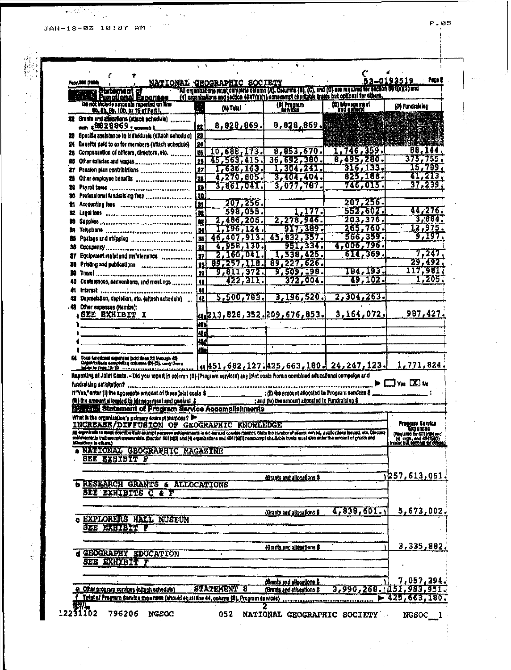JAN-18-03 10:07 AM

 $\sim$   $_{\star}$  $\mathbf{v}$ 

 $\phi_{\lambda,\lambda}$ 

 $\mathbf{W}_{\mathcal{C}}(\mathcal{A}^{(1)}_{\mathcal{A}},\mathcal{A}^{(2)}_{\mathcal{A}}))$ 

 $\vec{r}_{\rm{tot}}$ 

Ŕ

|        | Fest, 990 (198                                                                                                                                                                                                                                                                                                        |                         | <b>NATIONAL GEOGRAPHIC SOCIETY</b> |                                                                                                                                                                                                             |                               | Page I<br>53-0193519                                                                                                                        |
|--------|-----------------------------------------------------------------------------------------------------------------------------------------------------------------------------------------------------------------------------------------------------------------------------------------------------------------------|-------------------------|------------------------------------|-------------------------------------------------------------------------------------------------------------------------------------------------------------------------------------------------------------|-------------------------------|---------------------------------------------------------------------------------------------------------------------------------------------|
|        | that marrie m                                                                                                                                                                                                                                                                                                         |                         |                                    | All arganizations must complete selemn (A). Celumns (B), (C), and (D) are regulred for section 50 ((c)(3) and<br>(4) organizations and section 4947(a)(1) constampt chargeds truck but optional for others. |                               |                                                                                                                                             |
|        | <b>Eunctional Experises</b><br>De not include amounts reported on line                                                                                                                                                                                                                                                |                         | <b>Go Tetal</b>                    | ( <b>II) Program</b>                                                                                                                                                                                        | (6) Management<br>and general | (D) Fundraleing                                                                                                                             |
|        | th, 8b, 9b, 10b, or 16 of Part I.<br>Grants and affocations (attack schedule)                                                                                                                                                                                                                                         |                         |                                    |                                                                                                                                                                                                             |                               |                                                                                                                                             |
|        | oun \$9828869 . <sub>SWeeth</sub> t                                                                                                                                                                                                                                                                                   |                         |                                    | 8,828,869. 8,828,869.                                                                                                                                                                                       |                               |                                                                                                                                             |
| 23     | Specific assistance to individuals (attach schedulo)                                                                                                                                                                                                                                                                  | 182                     |                                    |                                                                                                                                                                                                             |                               |                                                                                                                                             |
|        | Benefits paid to or for members (attach schedule)                                                                                                                                                                                                                                                                     | 24                      |                                    |                                                                                                                                                                                                             |                               |                                                                                                                                             |
| 25.    | Companisation of officers, directors, etc.                                                                                                                                                                                                                                                                            | In.                     | 10,688,173.                        | 8,853,670.                                                                                                                                                                                                  | 1,746,359.                    | 88,144<br>375,755.                                                                                                                          |
| 86.    |                                                                                                                                                                                                                                                                                                                       | 26                      | 45,563,415.                        | 36,692,380.<br>1,304,241.                                                                                                                                                                                   | 8,495,280.                    | 15,789                                                                                                                                      |
| m      |                                                                                                                                                                                                                                                                                                                       | 27<br>25                | 1,636,163.<br>4,270,805.           | 3,404,404.                                                                                                                                                                                                  | $\frac{316,133}{825,188}$     | 41,213                                                                                                                                      |
| ъ<br>и |                                                                                                                                                                                                                                                                                                                       | 29                      | 3,861,041.                         | 3,077,787.                                                                                                                                                                                                  | 746,015.                      | 37,239.                                                                                                                                     |
| x      |                                                                                                                                                                                                                                                                                                                       | 110.                    |                                    |                                                                                                                                                                                                             |                               |                                                                                                                                             |
| æ.     | Accounting fees incommunications and control                                                                                                                                                                                                                                                                          | $\overline{\mathbf{H}}$ | 207,256.                           |                                                                                                                                                                                                             | 207, 256                      |                                                                                                                                             |
|        | Legal foos and communications and communications                                                                                                                                                                                                                                                                      | $\overline{\mathbf{a}}$ | 598,055.                           | 777.                                                                                                                                                                                                        | 552,602.                      | 44,276.                                                                                                                                     |
| 鵲      |                                                                                                                                                                                                                                                                                                                       | ts.                     | 2,466,205.                         | 2,278,946.                                                                                                                                                                                                  | 203, 376.                     | 3,084                                                                                                                                       |
|        |                                                                                                                                                                                                                                                                                                                       |                         | 1,196,124,                         | VI7,389.                                                                                                                                                                                                    | 265,760.                      | 12,975.                                                                                                                                     |
| ю      |                                                                                                                                                                                                                                                                                                                       | 35                      | 46,407,913.                        | 45,832,357.                                                                                                                                                                                                 | 566,359.                      | 9,197.                                                                                                                                      |
| 36     | COCUDENCY NATIONAL ARRESTS DESCRIPTION OF REAL PROPERTY                                                                                                                                                                                                                                                               | 33                      | 4,958,130,                         | 951,334.                                                                                                                                                                                                    | 4,006,796.<br>614,369.        | 7,247                                                                                                                                       |
| 37     | Equipment mateliand malateriance immediation                                                                                                                                                                                                                                                                          | <b>B7</b>               | 2,160,041.<br>89,257,118.          | 1,538,425.                                                                                                                                                                                                  |                               | 29,492                                                                                                                                      |
| 28     | Printing and publications communications                                                                                                                                                                                                                                                                              | 36<br>l 50              | 9,811,372.                         | 89,227,626.<br>9,509,198.                                                                                                                                                                                   | 184,193.                      | 117,981,                                                                                                                                    |
|        | Contentnoss, cenventions, and meetings                                                                                                                                                                                                                                                                                | $\overline{40}$         | 422, III.                          | 372,004.                                                                                                                                                                                                    | <b>IS, 102.</b>               | 1,205.                                                                                                                                      |
| m      | Interest communications and constructions of                                                                                                                                                                                                                                                                          | $\ddot{\phantom{a}}$    |                                    |                                                                                                                                                                                                             |                               |                                                                                                                                             |
|        | Depresistion, depistion, etc. (attach achedule)                                                                                                                                                                                                                                                                       | 42                      | 5,500,783.                         | 3,196,520.                                                                                                                                                                                                  | 2,304,263.                    |                                                                                                                                             |
|        | Other expanses (Nembre):                                                                                                                                                                                                                                                                                              |                         |                                    |                                                                                                                                                                                                             |                               |                                                                                                                                             |
|        | , SEE EXHIBIT I                                                                                                                                                                                                                                                                                                       |                         |                                    | 41213,828,352.20 <u>9,676,853.</u>                                                                                                                                                                          | 3,164,072.                    | 987,427.                                                                                                                                    |
|        |                                                                                                                                                                                                                                                                                                                       | m                       |                                    |                                                                                                                                                                                                             |                               |                                                                                                                                             |
|        |                                                                                                                                                                                                                                                                                                                       | Ą.                      |                                    |                                                                                                                                                                                                             |                               |                                                                                                                                             |
|        |                                                                                                                                                                                                                                                                                                                       | Щ                       |                                    |                                                                                                                                                                                                             |                               |                                                                                                                                             |
|        |                                                                                                                                                                                                                                                                                                                       |                         |                                    |                                                                                                                                                                                                             |                               |                                                                                                                                             |
|        |                                                                                                                                                                                                                                                                                                                       |                         |                                    |                                                                                                                                                                                                             |                               |                                                                                                                                             |
|        | Total functional experience land lines 22 through 42)<br>Caganitalisate compilating containes (B)-(D), carry than o<br>Inicia to lines 13-19 - containes and discuss commissions<br>Rupating at Joint Casts. - Did you mped in column (B) (Program services) any joint costs from a combined aducational compaign and |                         |                                    | <u> 451,682,127.425,663,180. 24,247,123.</u>                                                                                                                                                                |                               | 1,771,824.                                                                                                                                  |
|        | , the first of the appropale amount of these joint coals \$ _____________________; (ii) the amount shocated to Program services \$<br>(M) the amount allocated to Mercegement and general \$<br><b>Statement of Program Service Accomplishments</b>                                                                   |                         |                                    | ; and (iv) the amount allocated to Fundraising \$                                                                                                                                                           |                               | $\blacktriangleright$ $\square$ $\forall$ # $\square$ $\blacktriangleright$                                                                 |
|        | What is the organization's prevery exernpt purpose?                                                                                                                                                                                                                                                                   |                         |                                    |                                                                                                                                                                                                             |                               |                                                                                                                                             |
|        | INCREASE/DIFFUSION OF GEOGRAPHIC KNOWLEDGE                                                                                                                                                                                                                                                                            |                         |                                    |                                                                                                                                                                                                             |                               |                                                                                                                                             |
|        | All ergenzations muss describe that exampt purpose subigramants in a clay and conden manner. State the further of clants rerved, publications house, etc. Discuss<br>soldergments that are not measurable. (Section 501 ptGl and<br>Montlers in others)                                                               |                         |                                    |                                                                                                                                                                                                             |                               |                                                                                                                                             |
|        | NATIONAL GEOGRAPHIC MAGAZINE                                                                                                                                                                                                                                                                                          |                         |                                    |                                                                                                                                                                                                             |                               |                                                                                                                                             |
|        | <b>SEE EXHIBIT F</b>                                                                                                                                                                                                                                                                                                  |                         |                                    |                                                                                                                                                                                                             |                               |                                                                                                                                             |
|        |                                                                                                                                                                                                                                                                                                                       |                         |                                    |                                                                                                                                                                                                             |                               |                                                                                                                                             |
|        |                                                                                                                                                                                                                                                                                                                       |                         |                                    | (Branse and allocations \$                                                                                                                                                                                  |                               |                                                                                                                                             |
|        | RESEARCH GRANTS & ALLOCATIONS                                                                                                                                                                                                                                                                                         |                         |                                    |                                                                                                                                                                                                             |                               |                                                                                                                                             |
|        | <b>BEE EXHIBITS C &amp; F</b>                                                                                                                                                                                                                                                                                         |                         |                                    |                                                                                                                                                                                                             |                               |                                                                                                                                             |
|        |                                                                                                                                                                                                                                                                                                                       |                         |                                    |                                                                                                                                                                                                             |                               |                                                                                                                                             |
|        |                                                                                                                                                                                                                                                                                                                       |                         |                                    | (Grante and allocations \$                                                                                                                                                                                  | 4,838,601.                    |                                                                                                                                             |
|        | <b>EXPLORERS HALL MUSEUM</b><br>SEE EXHIBIT F                                                                                                                                                                                                                                                                         |                         |                                    |                                                                                                                                                                                                             |                               |                                                                                                                                             |
|        |                                                                                                                                                                                                                                                                                                                       |                         |                                    |                                                                                                                                                                                                             |                               | Program Service<br>(Flequived for 601 (cities and<br>(4) cross, and 40-750(f)<br>Instar but options for other<br>257.613,051.<br>5,673,002. |
|        |                                                                                                                                                                                                                                                                                                                       |                         |                                    | <u>(Grants and alignetions B</u>                                                                                                                                                                            |                               |                                                                                                                                             |
|        | d GEOGRAPHY EDUCATION                                                                                                                                                                                                                                                                                                 |                         |                                    |                                                                                                                                                                                                             |                               |                                                                                                                                             |
|        | <b>SEE EXHIBIT F</b>                                                                                                                                                                                                                                                                                                  |                         |                                    |                                                                                                                                                                                                             |                               |                                                                                                                                             |
| c.     |                                                                                                                                                                                                                                                                                                                       |                         |                                    |                                                                                                                                                                                                             |                               |                                                                                                                                             |
|        |                                                                                                                                                                                                                                                                                                                       |                         |                                    | <b>formis and elipositons &amp;</b>                                                                                                                                                                         |                               |                                                                                                                                             |
|        | e Other program services (altach schedule)<br>Total of Pregram Service Expenses (should equal line 44, column (B), Program services)                                                                                                                                                                                  |                         | STATEMENT 8                        | (Grants and allocations &                                                                                                                                                                                   | 3,990,268.1451,983,951.<br>►  | 3,335,802.<br><u>7,057,294,</u><br>425,663,180.                                                                                             |

 $P = 0.5$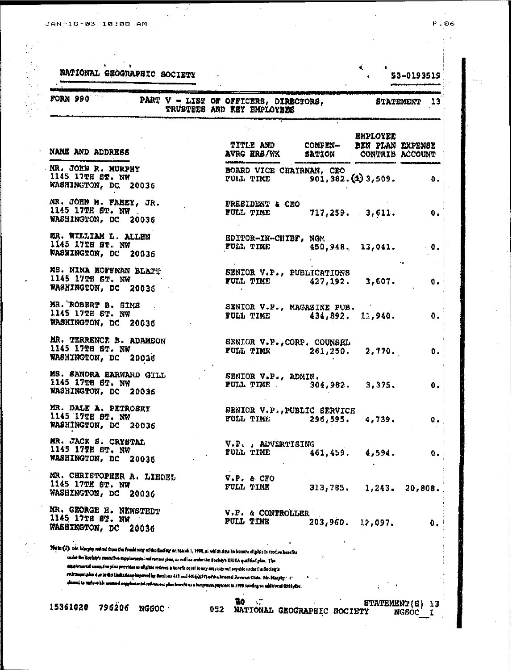$\label{eq:2} \frac{1}{\sqrt{2}}\left(\frac{1}{\sqrt{2}}\right)^{2} \frac{1}{\sqrt{2}}\left(\frac{1}{\sqrt{2}}\right)^{2}$ 

10. 新加拿大 10. 10

 $\ddot{\phantom{a}}$ 

 $\bar{z}$ 

 $\mathcal{A}^{\mathcal{A}}$ 

 $\sqrt{2}$ 

|  | o. |
|--|----|
|  | ï  |

J,

| FORM 990                                                                                                                                                                                                                                                                                                                                                                                                                                                                                                                                                                                                                                              | PART V - LIST OF OFFICERS, DIRECTORS,<br>TRUSTEES AND KEY EMPLOYEES |                                                    |                    | STATEMENT<br>$\sqrt{3}$ |
|-------------------------------------------------------------------------------------------------------------------------------------------------------------------------------------------------------------------------------------------------------------------------------------------------------------------------------------------------------------------------------------------------------------------------------------------------------------------------------------------------------------------------------------------------------------------------------------------------------------------------------------------------------|---------------------------------------------------------------------|----------------------------------------------------|--------------------|-------------------------|
| NAME AND ADDRESS                                                                                                                                                                                                                                                                                                                                                                                                                                                                                                                                                                                                                                      | <b>TITLE AND</b><br>AVRG ERS/WK                                     | COMPEN- BEN PLAN EXPENSE<br>SATION CONTRIB ACCOUNT | <b>EMPLOYEE</b>    |                         |
| MR. JOHN R. MURPHY<br>1145 17TH ST. NW<br>WASHINGTON, DC. 20036                                                                                                                                                                                                                                                                                                                                                                                                                                                                                                                                                                                       | BOARD VICE CHAIRMAN, CEO<br>FULL TIME 901, 362. (4) 3, 509.         |                                                    |                    | 0.                      |
| MR. JOHN M. FAHEY, JR.<br>1145 17TH 6T. NW.<br>WASHINGTON, DC 20036                                                                                                                                                                                                                                                                                                                                                                                                                                                                                                                                                                                   | PRESIDENT & CHO<br>FULL TIME                                        | $717,259.$ 3,611.                                  |                    | 0.                      |
| MR. WILLIAM L. ALLEN<br>1145 17TH ST. NW<br>WASHINGTON, DC 20036                                                                                                                                                                                                                                                                                                                                                                                                                                                                                                                                                                                      | EDITOR-IN-CHIEF, NGM<br>FULL TIME                                   |                                                    | $450,948.$ 13,041. | $\cdot$ 0.              |
| MB. NINA HOFFMAN BLATT<br>1145 17TH ST. NW<br>WASHINGTON, DC 20036                                                                                                                                                                                                                                                                                                                                                                                                                                                                                                                                                                                    | SENIOR V.P., PUBLICATIONS<br>FULL TIME 427, 192. 3, 607.            |                                                    |                    | 0.                      |
| MR. ROBERT B. SIMS<br>1145 17TH ST. NW<br>WASHINGTON, DC 20036                                                                                                                                                                                                                                                                                                                                                                                                                                                                                                                                                                                        | SENIOR V.P., MAGAZINE PUB.<br>FULL TIME 434, 892. 11, 940.          |                                                    |                    | 0.                      |
| MR. TERRENCE B. ADAMSON<br>1145 17TH ST. NW<br>WASHINGTON, DC 20036                                                                                                                                                                                                                                                                                                                                                                                                                                                                                                                                                                                   | SENIOR V.P., CORP. COUNSEL<br>FULL TIME 261,250. 2,770.             |                                                    |                    | ΰ.                      |
| MS. SANDRA HARWARD GILL<br>1145 17TH 6T. NW<br>WASHINGTON, DC 20036                                                                                                                                                                                                                                                                                                                                                                                                                                                                                                                                                                                   | SENIOR V.P., ADMIN.<br>FULL TIME                                    |                                                    | $304,982.$ 3,375.  | 0.                      |
| MR. DALE A. PETROSKY<br>1145 17TH 8T. NW<br>WASHINGTON, DC<br>20036                                                                                                                                                                                                                                                                                                                                                                                                                                                                                                                                                                                   | SENIOR V.P., PUBLIC SERVICE<br><b>FULL TIME</b>                     | 296,595.                                           | 4,739.             | 0.                      |
| MR. JACK S. CRYSTAL<br>1145 17TH ST. NW<br>WASHINGTON, DC<br>20036                                                                                                                                                                                                                                                                                                                                                                                                                                                                                                                                                                                    | V.P., ADVERTISING<br>FULL TIME                                      | 461,459.                                           | 4,594.             | Ο.                      |
| MR. CHRISTOPHER A. LIEDEL<br>1145 17TH ST. NW<br>WASHINGTON, DC<br>20036                                                                                                                                                                                                                                                                                                                                                                                                                                                                                                                                                                              | V.P. & CFO<br>FULL TIME                                             | 313,785,                                           | 1,243.             | 20,80B.                 |
| MR. GEORGE E. NEWSTEDT<br>1145 17TH ST. NW<br>WASHINGTON, DC 20036                                                                                                                                                                                                                                                                                                                                                                                                                                                                                                                                                                                    | V.P. & CONTROLLER<br><b>FULL TIME</b>                               | 203,960.                                           | 12,097.            | 0.                      |
| Note (i): his himply roles from the frank same of the Rockey as March 1, 1998, at which has he became dipible to receive benefits<br>en int the Bockey's executive expplarantel red rament plan, so well as ander the Bockey's ERISA qualified plan. The<br>experimental energy ve plus provides to aligible relates a bandh cqual to my amount not prychic unity the Society's<br>retirement plus due to the limitations impened by Soctions 415 and 401(0)(17) of the Internal Reverses Code. Mr. Marphy + 1+<br>. Home is not well and any function of refreshed plan boards as a function perment in 1996 setting an additional \$381,434 والمسلم |                                                                     |                                                    |                    |                         |

 $\label{eq:2.1} \frac{1}{2} \int_{\mathbb{R}^3} \frac{1}{\sqrt{2}} \, \frac{1}{\sqrt{2}} \, \frac{1}{\sqrt{2}} \, \frac{1}{\sqrt{2}} \, \frac{1}{\sqrt{2}} \, \frac{1}{\sqrt{2}} \, \frac{1}{\sqrt{2}} \, \frac{1}{\sqrt{2}} \, \frac{1}{\sqrt{2}} \, \frac{1}{\sqrt{2}} \, \frac{1}{\sqrt{2}} \, \frac{1}{\sqrt{2}} \, \frac{1}{\sqrt{2}} \, \frac{1}{\sqrt{2}} \, \frac{1}{\sqrt{2}} \, \frac{1}{\sqrt{2}} \,$ 

 $\begin{array}{c} 1 \\ 1 \\ 1 \end{array}$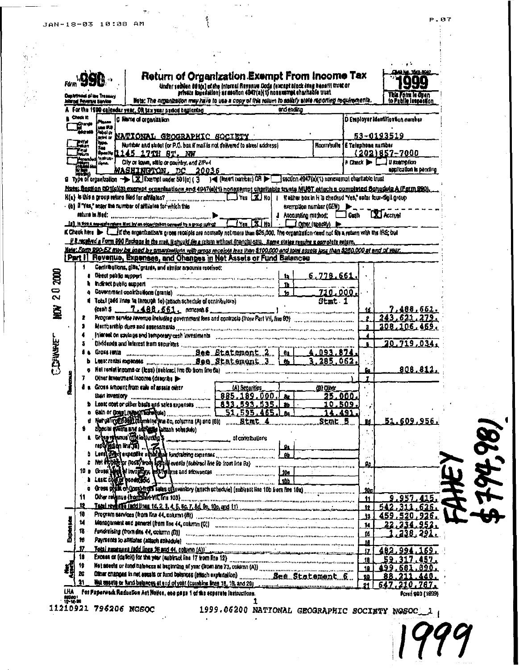202000

臺

**CDINNET** 

χ×

|                     |                           |                                                                                                                                                                                                                                                                                                |         | Return of Organization Exempt From Income Tax                                                                                                                    |                             |                        |                    | ), 1526. BOL                      |
|---------------------|---------------------------|------------------------------------------------------------------------------------------------------------------------------------------------------------------------------------------------------------------------------------------------------------------------------------------------|---------|------------------------------------------------------------------------------------------------------------------------------------------------------------------|-----------------------------|------------------------|--------------------|-----------------------------------|
|                     | ghrimeal of live Treasury |                                                                                                                                                                                                                                                                                                |         | tinder saðlien 89 i(a) of the internal Reyonus Code (except alack lang denetti trukt or<br>frivals konseilloni ar seollon 4947 (a){ 1} nonexampt eharhadie trust |                             |                        |                    | This Form is open                 |
|                     | kroal Revenue Service     | liets: The organization may have to use a copy of this return to sailefy state reporting requirements.                                                                                                                                                                                         |         |                                                                                                                                                                  |                             |                        |                    | s <b>bile lannasK</b> on          |
| Check It            |                           | For the 1900 calendar year. On tax year period beginning                                                                                                                                                                                                                                       |         |                                                                                                                                                                  | and ending                  |                        |                    |                                   |
| G) ange             |                           | C Name of organization                                                                                                                                                                                                                                                                         |         |                                                                                                                                                                  |                             |                        |                    | D Employer Identification number  |
|                     | yng 193<br>lebol or       |                                                                                                                                                                                                                                                                                                |         |                                                                                                                                                                  |                             |                        |                    | 53-0193519                        |
| na a                | print ar<br>tipe.         | <u>NATIONAL GROGRAPHIC SOCIETY</u><br>Nurtibler and slags (or P.O. box if mail is not delivered to street address).                                                                                                                                                                            |         |                                                                                                                                                                  |                             | <b>Hoom/sufte</b>      | E Telephone nambar |                                   |
| Tru.                | Sec.                      | Specie 2145 17TH 8T. NW                                                                                                                                                                                                                                                                        |         |                                                                                                                                                                  |                             |                        |                    | (202)857-7000                     |
| Antendedi           | 'nvive-<br>Hone.          | City or town, state or country, and 2IP+4                                                                                                                                                                                                                                                      |         |                                                                                                                                                                  |                             |                        |                    | R Check <b>by Land Decembrica</b> |
|                     |                           | WASHINGTON, DC                                                                                                                                                                                                                                                                                 | - 20036 |                                                                                                                                                                  |                             |                        |                    | application is panding            |
|                     |                           | Type of organization -> EX Exempt under 501(c) (3 ) < (insert number) OR > section 4947(a)(1) nonexumpt charitable trust                                                                                                                                                                       |         |                                                                                                                                                                  |                             |                        |                    |                                   |
|                     |                           | <u>Nats: Segjion 60 tick3) exempt organizations and 4947(a)(1) nonexempt cheritable trusts MUST attach a completed Schadule A (Form 2001,</u>                                                                                                                                                  |         |                                                                                                                                                                  |                             |                        |                    |                                   |
|                     |                           |                                                                                                                                                                                                                                                                                                |         |                                                                                                                                                                  |                             |                        |                    |                                   |
|                     |                           | - (b) # "Yes," enter the number of affiliates for which this                                                                                                                                                                                                                                   |         |                                                                                                                                                                  |                             | exemption number (GEN) |                    |                                   |
|                     |                           |                                                                                                                                                                                                                                                                                                |         |                                                                                                                                                                  | <b>4</b> Accounting method: |                        | <b>Cash</b>        | <b>XI Accrow</b>                  |
|                     |                           | to the man of tragers and the first property are equal to the figures a state of the                                                                                                                                                                                                           |         | Ves XI No                                                                                                                                                        |                             | Other (spacify) De-    |                    |                                   |
|                     |                           | K Check here the little orgenization's gross receipts are normally not more than \$26,000. The organization need not fits a return with the IRS; but                                                                                                                                           |         |                                                                                                                                                                  |                             |                        |                    |                                   |
|                     |                           | <u>. E E recebra a Form DDO Packase in the mail it shuuld like return without financial cata Some states reaufre a complete return,</u><br><u>Nele: Form B90-E2 may be used by gmantaaligns with gross receipts less then \$100,000 and total assets lass then \$250,000 al end of veer. .</u> |         |                                                                                                                                                                  |                             |                        |                    |                                   |
|                     |                           | [Part I] Revenue, Expenses, and Changes in Net Assets or Fund Balances                                                                                                                                                                                                                         |         |                                                                                                                                                                  |                             |                        |                    |                                   |
|                     |                           | Centributions, gids, grasse, and similar amounts received;                                                                                                                                                                                                                                     |         |                                                                                                                                                                  |                             |                        |                    |                                   |
|                     |                           | Direct public appoint and communications are accommodated and constructions                                                                                                                                                                                                                    |         |                                                                                                                                                                  | 12.                         | 6.778.661              |                    |                                   |
|                     | indirect public export    |                                                                                                                                                                                                                                                                                                |         |                                                                                                                                                                  | 'n                          |                        |                    |                                   |
|                     |                           | Covernment contributions (grants) concernment contribution contribution of                                                                                                                                                                                                                     |         |                                                                                                                                                                  | to.                         | 710,000.               |                    |                                   |
|                     |                           | Total (add lines to incough 10) (attach schedule of contributors)                                                                                                                                                                                                                              |         |                                                                                                                                                                  |                             | Stmt <sub>1</sub>      |                    |                                   |
|                     |                           | (cash \$ 7.488,561, noncest \$                                                                                                                                                                                                                                                                 |         |                                                                                                                                                                  |                             |                        |                    | 7,488,661.                        |
|                     |                           | Program service revenue instuding government fors and contracts (from Part VII, fine 93)                                                                                                                                                                                                       |         |                                                                                                                                                                  |                             |                        |                    | 243.621.279                       |
|                     |                           |                                                                                                                                                                                                                                                                                                |         |                                                                                                                                                                  |                             |                        | ă                  | 208,106,469                       |
|                     |                           | In let cell on savings and temporary cash investments and concernation of the concernation of the concernance                                                                                                                                                                                  |         |                                                                                                                                                                  |                             |                        |                    | 20,719,034                        |
|                     | Grons rental              | <b>Example 1 Dee Statement 2 62</b>                                                                                                                                                                                                                                                            |         |                                                                                                                                                                  |                             |                        |                    |                                   |
|                     |                           |                                                                                                                                                                                                                                                                                                |         |                                                                                                                                                                  |                             | 3.285.062.             |                    |                                   |
|                     |                           | Net rentel income or (loss) (subtract line 6b from line 6a)                                                                                                                                                                                                                                    |         |                                                                                                                                                                  |                             |                        |                    | <u>808.812</u>                    |
|                     |                           | Other investment income (describe in-                                                                                                                                                                                                                                                          |         |                                                                                                                                                                  |                             |                        |                    |                                   |
|                     |                           | Gross smount from rale of assair niker                                                                                                                                                                                                                                                         |         | (A) Securities                                                                                                                                                   |                             | (B) Other              |                    |                                   |
|                     | than inventory            |                                                                                                                                                                                                                                                                                                |         | 885.189.000.                                                                                                                                                     |                             | 25.000.                |                    |                                   |
|                     |                           |                                                                                                                                                                                                                                                                                                |         |                                                                                                                                                                  |                             | <u>10,509.</u>         |                    |                                   |
|                     |                           |                                                                                                                                                                                                                                                                                                |         | $-51,595,465.$                                                                                                                                                   |                             | 14.491                 |                    |                                   |
|                     |                           |                                                                                                                                                                                                                                                                                                |         |                                                                                                                                                                  |                             |                        | Ħ                  | 51.609,956.                       |
|                     |                           | Shecial events and advising tattach schemes)<br>a Grannyain (Tatingwana's                                                                                                                                                                                                                      |         | of contributions                                                                                                                                                 |                             |                        |                    |                                   |
|                     |                           |                                                                                                                                                                                                                                                                                                |         |                                                                                                                                                                  |                             |                        |                    |                                   |
|                     |                           | tend and the chief of the district express communities of the contract of the contract of the contract of the contract of the contract of the contract of the contract of the contract of the contract of the contract of the                                                                  |         |                                                                                                                                                                  |                             |                        |                    |                                   |
|                     |                           | Not explicing or (loss) work special events (subtract line 9b from line 9a)                                                                                                                                                                                                                    |         |                                                                                                                                                                  |                             |                        | g.                 |                                   |
|                     |                           | Gross Heel of Involtage, legal galents and attowances                                                                                                                                                                                                                                          |         |                                                                                                                                                                  |                             |                        |                    |                                   |
|                     |                           |                                                                                                                                                                                                                                                                                                |         |                                                                                                                                                                  |                             |                        |                    |                                   |
|                     |                           | Gross profit contines have of numbery (anach schedule) (subtract line 10b hom line 10a)                                                                                                                                                                                                        |         |                                                                                                                                                                  |                             |                        | 10a                |                                   |
| 11                  |                           |                                                                                                                                                                                                                                                                                                |         |                                                                                                                                                                  |                             |                        | 11.                | 9.957.415.                        |
| 12                  |                           | Tetal reveals and lines 10, 2, 3, 4, 5, 60, 7, 8d, 9c, 10c, and 11) monday and communication of the subsequences                                                                                                                                                                               |         |                                                                                                                                                                  |                             |                        | 12                 | 311.635.                          |
| 18                  |                           | Program sarvices (from line 44, column (8)) communications are procedured and construction of the column of the                                                                                                                                                                                |         |                                                                                                                                                                  |                             |                        | 11.                | 459,520,926                       |
| 14.                 |                           | Management and peneral (from the 44, column (0)) commission continuum and construction and column of                                                                                                                                                                                           |         |                                                                                                                                                                  |                             |                        | 14                 | 22,234.<br>95                     |
| 18.                 |                           | Fundreining (from dis 44, column (D)) concernamental communication and communication and concernation                                                                                                                                                                                          |         |                                                                                                                                                                  |                             |                        | ťö                 | 238, 297.                         |
| Bureata<br>16<br>17 |                           | Payments to almiales (allach schedule) and communications are considered and communications of the communications of                                                                                                                                                                           |         |                                                                                                                                                                  |                             |                        | 18                 |                                   |
| 18                  |                           | Total expenses fadd lines 18 and 44, common (A)) and common common continuous common conservation and                                                                                                                                                                                          |         |                                                                                                                                                                  |                             |                        | JZ.                | 482.994.169.                      |
| 19                  |                           |                                                                                                                                                                                                                                                                                                |         |                                                                                                                                                                  |                             |                        | 18                 | 59.317.457.                       |
| 20                  |                           |                                                                                                                                                                                                                                                                                                |         |                                                                                                                                                                  |                             |                        | 19<br>90           | 499.681.890.                      |
|                     |                           |                                                                                                                                                                                                                                                                                                |         |                                                                                                                                                                  |                             |                        |                    |                                   |

 $\mathbf{a}$ Het essels or fund balances at and of year (cambine lines 18, 19, and 20) 11210921 796206 NGSOC 1999.06200 N<br>174.00 11210921 796206 NGSOC 19999 1010000 1

1999.06200 NATIONAL GEOGRAPHIC SOCIETY NOSOC\_1

.See Statement 5

 $\mathbf{1}$ 

440.

Forri 990 (1899)

88

XQ.

 $21$ 

211

647.210.787.

14,98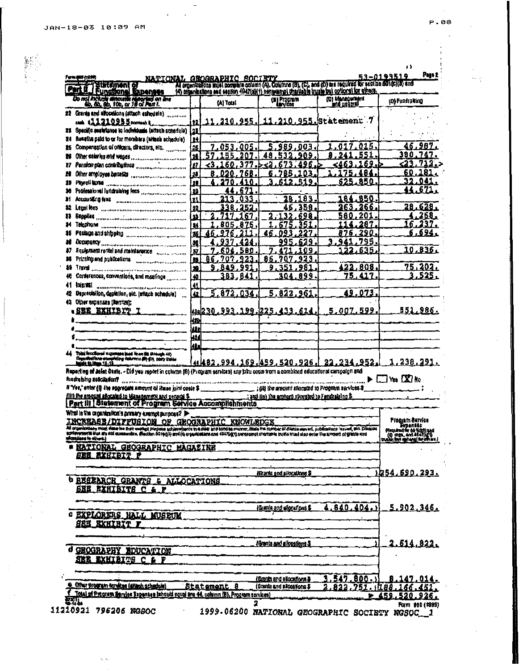|     |                                                                                                                                                                                                                                                                                  |             | NATIONAL GNOGRAPHIC SOCIETY |      |                                                                                                                        |                                                                                                                                                                                                                | 53-0193519                                                                                 |
|-----|----------------------------------------------------------------------------------------------------------------------------------------------------------------------------------------------------------------------------------------------------------------------------------|-------------|-----------------------------|------|------------------------------------------------------------------------------------------------------------------------|----------------------------------------------------------------------------------------------------------------------------------------------------------------------------------------------------------------|--------------------------------------------------------------------------------------------|
|     | Statement of                                                                                                                                                                                                                                                                     |             |                             |      |                                                                                                                        | All organizations must complete column (A). Columna (B), (C), and (D) are required for section of 1(c)(3) and<br>(4) organizations and section 4942(s)(4) nenguamp) that have busin to i optional for citrata. |                                                                                            |
|     | Part II.   Fungtionel Expenses<br>Do not holide amounts reported on the<br>do do, do, 10b, or 16 of Part I.                                                                                                                                                                      |             | (A) Total                   |      | (B) Prognam                                                                                                            | (C) Management                                                                                                                                                                                                 | (D) Fundraking                                                                             |
|     |                                                                                                                                                                                                                                                                                  |             |                             |      |                                                                                                                        |                                                                                                                                                                                                                |                                                                                            |
|     | #2 Grants and allocations (attach schedule)                                                                                                                                                                                                                                      |             |                             |      |                                                                                                                        |                                                                                                                                                                                                                |                                                                                            |
|     | cash \$2.22.0955 noneweb it                                                                                                                                                                                                                                                      |             |                             |      |                                                                                                                        | 11, 210, 255, 11, 210, 955, Statement 7                                                                                                                                                                        |                                                                                            |
|     | 21 Specific analytanos to individuals (attach schadule)                                                                                                                                                                                                                          | L1          |                             |      |                                                                                                                        |                                                                                                                                                                                                                |                                                                                            |
| 24  | Banafits paid to or for members (which schedule)                                                                                                                                                                                                                                 | 11          |                             |      |                                                                                                                        |                                                                                                                                                                                                                |                                                                                            |
| Ħ   | Compensation of officers, directors, etc.                                                                                                                                                                                                                                        | 125         | 7,053,005.                  |      | 5.989.003                                                                                                              | .a17.015                                                                                                                                                                                                       | 46,987.                                                                                    |
| x   |                                                                                                                                                                                                                                                                                  | l28         |                             | 207  | 532<br>909<br>48                                                                                                       |                                                                                                                                                                                                                | 380.747.                                                                                   |
| 27  |                                                                                                                                                                                                                                                                                  | 12Z         | 60<br>3                     |      |                                                                                                                        | 1<br>.463ء<br>69.                                                                                                                                                                                              | $<$ 23,712.>                                                                               |
| Ħ   |                                                                                                                                                                                                                                                                                  | <u> 20</u>  | 8.                          | '68  |                                                                                                                        | 84                                                                                                                                                                                                             | <u>60.181.</u>                                                                             |
| 11  | Phyroll laxes and compared the there is a continued of the con-                                                                                                                                                                                                                  | Ī۳          | 27N                         | 410  | 519<br>612                                                                                                             | 625.850                                                                                                                                                                                                        | 32.041.                                                                                    |
|     |                                                                                                                                                                                                                                                                                  | ١w          |                             | 671  |                                                                                                                        |                                                                                                                                                                                                                | <u>44.671.</u>                                                                             |
| 31  | Accounting fase and account account of the contractor                                                                                                                                                                                                                            |             | 213                         | 033  | 28.183                                                                                                                 | 184.850                                                                                                                                                                                                        |                                                                                            |
| 12  |                                                                                                                                                                                                                                                                                  |             |                             | 252  | 46.358.                                                                                                                | 263.<br>266.                                                                                                                                                                                                   | 28.628.                                                                                    |
|     |                                                                                                                                                                                                                                                                                  | l sa        |                             | 67   | 698<br>.132.                                                                                                           | 580.<br>-201                                                                                                                                                                                                   | 4.268.                                                                                     |
| 14  | Telephone <sub>contractor consumer contractor contractor</sub>                                                                                                                                                                                                                   | L.          | 805                         | .875 | 675                                                                                                                    | 287                                                                                                                                                                                                            | 16.237.                                                                                    |
| 15  | Pestage and shipping and announcement and with                                                                                                                                                                                                                                   | 136         | 976.<br>46.                 |      | 46.093                                                                                                                 | 876.290                                                                                                                                                                                                        | . 94ء ک                                                                                    |
| и   | DECOUPARCY COMMONWERGING INTERNATIONAL ACCOUNTANCE                                                                                                                                                                                                                               |             |                             |      | 629                                                                                                                    | .795.<br>3.941                                                                                                                                                                                                 |                                                                                            |
|     | Equipment rental and maintenance some communi-                                                                                                                                                                                                                                   | l sv        | 604                         | 580  |                                                                                                                        | .635.<br>122                                                                                                                                                                                                   | 10,836                                                                                     |
| ×   | Prinsing and publications communications are                                                                                                                                                                                                                                     |             | 86<br>707.                  | 923  | 923<br>86<br>707.                                                                                                      |                                                                                                                                                                                                                |                                                                                            |
| 49. |                                                                                                                                                                                                                                                                                  | <u>ایوا</u> | 9.849.991                   |      | 9.351.981                                                                                                              | 422,808                                                                                                                                                                                                        | 75, 202.                                                                                   |
|     | Conferences, conventions, and mostings                                                                                                                                                                                                                                           | <u>مەا</u>  | 3B3,841                     |      | 304.899.                                                                                                               | 75.417.                                                                                                                                                                                                        | 3,525.                                                                                     |
| 41  | <b>REEFERENT AND AND ARRESTS AND DESCRIPTIONS OF AN ALL PROPERTY.</b>                                                                                                                                                                                                            | М           |                             |      |                                                                                                                        |                                                                                                                                                                                                                |                                                                                            |
| 42  | Depredation, depletion, etc. (attack schedule)                                                                                                                                                                                                                                   |             | 5.872.034.                  |      | 5,822,961                                                                                                              | 49,073                                                                                                                                                                                                         |                                                                                            |
|     | Other expenses (Nemtzer:                                                                                                                                                                                                                                                         |             |                             |      |                                                                                                                        |                                                                                                                                                                                                                |                                                                                            |
| 43. | .SEE EXHIBIT I                                                                                                                                                                                                                                                                   |             |                             |      |                                                                                                                        | 5,007,599.                                                                                                                                                                                                     | 551,986.                                                                                   |
|     |                                                                                                                                                                                                                                                                                  |             |                             |      | (1230.993.199.225.433.614)                                                                                             |                                                                                                                                                                                                                |                                                                                            |
|     |                                                                                                                                                                                                                                                                                  | Ш'n         |                             |      |                                                                                                                        |                                                                                                                                                                                                                |                                                                                            |
|     |                                                                                                                                                                                                                                                                                  | ш           |                             |      |                                                                                                                        |                                                                                                                                                                                                                |                                                                                            |
|     |                                                                                                                                                                                                                                                                                  | kи          |                             |      |                                                                                                                        |                                                                                                                                                                                                                |                                                                                            |
|     |                                                                                                                                                                                                                                                                                  | ia.         |                             |      |                                                                                                                        |                                                                                                                                                                                                                |                                                                                            |
|     |                                                                                                                                                                                                                                                                                  |             |                             |      |                                                                                                                        |                                                                                                                                                                                                                |                                                                                            |
|     | Tolal Ancillored wayernans baid lines the Ureaugh 48)<br>Conselections completing determining pay to<br>Raporting of Joint Deste. - Did you report in culumn (B) (Program services) any bini costo trom a combined educational campaign and                                      |             |                             |      |                                                                                                                        | <u>14482,994,169,459,520,926,123,234,952,</u>                                                                                                                                                                  | 1,238 <u>,291.</u>                                                                         |
|     | http://www.com/com/www.com/www.com/www.com/www.com/www.com/www.com/www.com/www.com/www.com/www.com/<br>(111) the amount allocated to Management and pensual \$<br>Part III   Siatement of Program Service Accomplishments<br>What is the concentration's primary exempt purpose? |             |                             |      | <u>, and fiv) the amount sycrated to Fundralsing S.</u>                                                                |                                                                                                                                                                                                                | $\blacktriangleright$ $\square$ Yea $\square$ No<br>$\mathbf{r} = \mathbf{r} + \mathbf{r}$ |
|     | INCREASE/DIFFUSION OF GEOGRAPHIC KNOWLEDGE<br>All originisations mind; data for earthigt prapers advisyminate the diest and concles manner, Blade the number of discusserved, publications insured, and Disques                                                                  |             |                             |      |                                                                                                                        |                                                                                                                                                                                                                |                                                                                            |
|     | alquillers in allunt.)                                                                                                                                                                                                                                                           |             |                             |      | Paction on Hojja) and (Q organisms and 404769,T) narital and chartaine builto must disc enter the amount of grante and |                                                                                                                                                                                                                |                                                                                            |
|     |                                                                                                                                                                                                                                                                                  |             |                             |      |                                                                                                                        |                                                                                                                                                                                                                | Program Barvice<br>- Expansa<br>(Regulard for 60 Volt)) and<br>(4) Crea, and 4447(3) 01    |
|     | <b>* NATIONAL GEOGRAPHIC MAGAZINE</b><br><u> SBB BXKIBIT F</u>                                                                                                                                                                                                                   |             |                             |      |                                                                                                                        |                                                                                                                                                                                                                |                                                                                            |
|     |                                                                                                                                                                                                                                                                                  |             |                             |      |                                                                                                                        |                                                                                                                                                                                                                |                                                                                            |
|     |                                                                                                                                                                                                                                                                                  |             |                             |      | (Eranis and allocations \$                                                                                             |                                                                                                                                                                                                                |                                                                                            |
|     | <b>b RESEARCH GRANTS &amp; ALLOCATIONS</b>                                                                                                                                                                                                                                       |             |                             |      |                                                                                                                        |                                                                                                                                                                                                                | <u>1054,690,293.</u>                                                                       |
|     | <b>SEE EXHIBITS C &amp; F</b>                                                                                                                                                                                                                                                    |             |                             |      |                                                                                                                        |                                                                                                                                                                                                                |                                                                                            |
|     |                                                                                                                                                                                                                                                                                  |             |                             |      |                                                                                                                        |                                                                                                                                                                                                                |                                                                                            |
|     |                                                                                                                                                                                                                                                                                  |             |                             |      |                                                                                                                        |                                                                                                                                                                                                                |                                                                                            |
|     |                                                                                                                                                                                                                                                                                  |             |                             |      | (Granie and electations \$                                                                                             | 4,840,404.1                                                                                                                                                                                                    | 5.902,346.                                                                                 |
|     | <b>C EXPLORERS HALL MUSEUM</b><br><b>ARE EXHIBIT T</b>                                                                                                                                                                                                                           |             |                             |      |                                                                                                                        |                                                                                                                                                                                                                |                                                                                            |
|     |                                                                                                                                                                                                                                                                                  |             |                             |      |                                                                                                                        |                                                                                                                                                                                                                |                                                                                            |
|     |                                                                                                                                                                                                                                                                                  |             |                             |      |                                                                                                                        |                                                                                                                                                                                                                |                                                                                            |
|     |                                                                                                                                                                                                                                                                                  |             |                             |      | (Grants and allocations \$                                                                                             |                                                                                                                                                                                                                | 2<br><u>614.922.</u>                                                                       |
|     | GEOGRAPHY BDUCATION                                                                                                                                                                                                                                                              |             |                             |      |                                                                                                                        |                                                                                                                                                                                                                |                                                                                            |
|     | <b>SEE EXHIBITS C &amp; F</b>                                                                                                                                                                                                                                                    |             |                             |      |                                                                                                                        |                                                                                                                                                                                                                |                                                                                            |
|     |                                                                                                                                                                                                                                                                                  |             |                             |      |                                                                                                                        |                                                                                                                                                                                                                |                                                                                            |
|     |                                                                                                                                                                                                                                                                                  |             |                             |      | (Gmnts and allocations &                                                                                               | 3,547.800.                                                                                                                                                                                                     | 8.147.014.                                                                                 |
|     | O. Other program dendess (attach achemie)                                                                                                                                                                                                                                        |             | <u>Statement 8</u>          |      | (Grants and allocations \$                                                                                             | 822<br>751                                                                                                                                                                                                     | . 1188.<br>166.45                                                                          |
|     | <u>f Total of Program Service Supenses tehould goust and 44, column (B), Program services)</u><br>碎状                                                                                                                                                                             |             |                             | 2    |                                                                                                                        |                                                                                                                                                                                                                | 459.520.926.<br>FORM \$90 (1899)                                                           |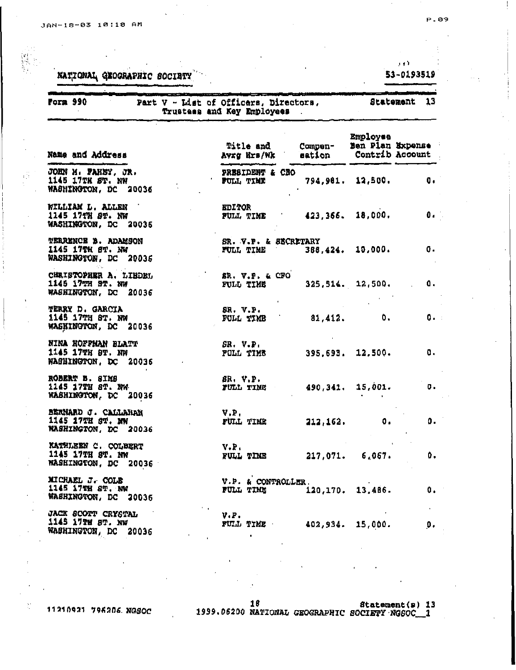X)

τğ

È,

NATIONAL GEOGRAPHIC SOCIETY

## $\mathbf{y} \neq \mathbf{Y}$ 53-0193519

| <b>Form 990</b>                                                        | Part V - List of Officers, Directors,<br>Trustees and Key Employees |                      |                              | Statement 13    |
|------------------------------------------------------------------------|---------------------------------------------------------------------|----------------------|------------------------------|-----------------|
| Name and Address                                                       | Title and<br>Avrg Hrs/Wk                                            | Compen-<br>eation    | Employee<br>Ben Plan Expense | Contrib Account |
| JOHN M. PAHEY, JR.<br>1145 17TH ST. NW<br>WASHINGTON, DC 20036         | PRESIDENT & CEO<br>FULL TIME                                        |                      | 794,981. 12,500.             | 0.              |
| WILLIAM L. ALLEN<br>1145 17TH ST. NW<br>WASHINGTON, DC 20036           | <b>EDITOR</b><br>FULL TIME                                          | $423,366.$ $18,000.$ |                              | $\mathbf{0}$ .  |
| <b>TERRENCE B. ADAMSON</b><br>1145 17TH 8T. NW<br>WASHINGTON, DC 20036 | SR. V.P. & SECRETARY<br>FULL TIME                                   |                      | 388,424. 10,000.             | 0.              |
| CHRISTOPHER A. LIBDEL<br>1145 17TH ST. NW<br>WASHINGTON, DC 20036      | SR. V.P. & CFO<br>FULL TIME                                         |                      | $325,514.$ 12,500.           | Δ.              |
| <b>TERRY D. GARCIA</b><br>1145 17TH 8T. NW<br>WASHINGTON, DC 20036     | SR. V.P.<br>FULL TIMB                                               | 81,412.              | $\bullet$ .                  | $0 - 1$         |
| NINA HOFFMAN BLATT<br>1145 17TH 8T. NW<br>WASHINGTON, DC 20036         | SR. V.P.<br><b>FULL TIME</b>                                        |                      | $395,693$ , $12,500$ .       | α.              |
| ROBERT B. SIMS<br>1145 17TH ST. NW<br>WASHINGTON, DC 20036             | BR. V.P.<br>FULL TINE                                               |                      | 490, 341, 15, 001.           | ο.              |
| BERNARD J. CALLAHAN<br>1145 17TH ST. NW<br>WASHINGTON, DC 20036        | V.P.<br>FULL TIME                                                   | 212, 162.            | $\mathbf 0$ .                | Ο.              |
| KATHLEEN C. COLBERT<br>1145 17TH ST. NW<br>WASHINGTON, DC 20036        | V.F.<br>FULL TIME 217,071. 6.067.                                   |                      |                              | ΰ.              |
| MICHAEL J. COLE<br>1145 17TH ST. NW<br>WASHINGTON, DC 20036            | V.P. & CONTROLLER.<br>FULL TIME 120,170. 13.486.                    |                      |                              | 0.1             |
| JACK SCOTT CRYSTAL<br>1145 17TH 8T. NW<br>WASHINGTON, DC 20036         | $V \cdot P$ .<br>FULL TIME 402,934. 15,000.                         |                      |                              | Ο.              |

11210921 796206 NGSOC

 $\begin{array}{cc} & 16 & \texttt{Statement(s)} & 13 \\ 1999.06200 & \texttt{NAYIOMAL GEOGRAPHIC SOCIETY'NGGOC\_1} \end{array}$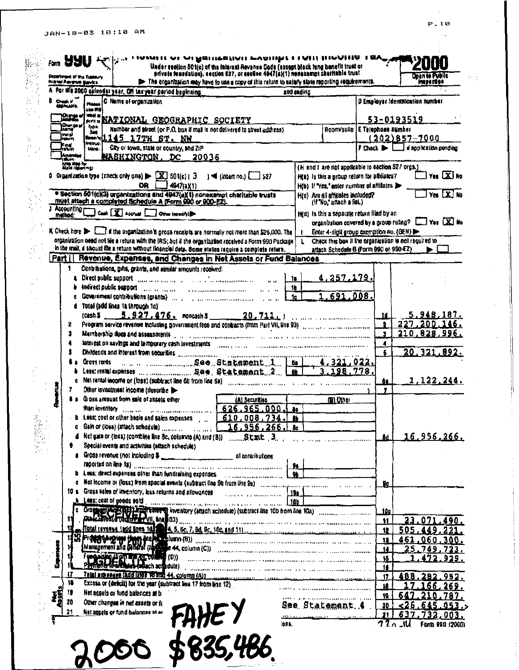## JAN-18-03 10:10 AM

 $\frac{1}{\alpha}$ 

| Department of the Treasury<br>Highal Reverse Barrics             |                                        |                                                                                       |                                                                                                                                                                                                                                | Under section 501(c) of the falerast Revenue Code (except black lang benefit trust or<br>private foundation), section 527, or section 4047(a)(1) nonexempt charitable trust<br>P The organization may have to use a copy of this return to satisfy state reporting requirements. |              |                                                                                                                                                                                                                                                                                                                                                     |                                 |             |               | Onen të Public<br>masa 2006      |
|------------------------------------------------------------------|----------------------------------------|---------------------------------------------------------------------------------------|--------------------------------------------------------------------------------------------------------------------------------------------------------------------------------------------------------------------------------|----------------------------------------------------------------------------------------------------------------------------------------------------------------------------------------------------------------------------------------------------------------------------------|--------------|-----------------------------------------------------------------------------------------------------------------------------------------------------------------------------------------------------------------------------------------------------------------------------------------------------------------------------------------------------|---------------------------------|-------------|---------------|----------------------------------|
|                                                                  |                                        | A For the 2000 ealends: year, OH tax year period beginning.                           |                                                                                                                                                                                                                                |                                                                                                                                                                                                                                                                                  | and and inc. |                                                                                                                                                                                                                                                                                                                                                     |                                 |             |               |                                  |
| Check of The                                                     | Planas                                 | C Name of organization                                                                |                                                                                                                                                                                                                                |                                                                                                                                                                                                                                                                                  |              |                                                                                                                                                                                                                                                                                                                                                     |                                 |             |               | D Employer Identification number |
|                                                                  | و جو هو ب<br>kibal m                   |                                                                                       |                                                                                                                                                                                                                                |                                                                                                                                                                                                                                                                                  |              |                                                                                                                                                                                                                                                                                                                                                     |                                 |             |               |                                  |
| Orige o<br>iChanga ar                                            | typs.                                  |                                                                                       | AM. NATIONAL GEOGRAPHIC SOCIETY                                                                                                                                                                                                |                                                                                                                                                                                                                                                                                  |              |                                                                                                                                                                                                                                                                                                                                                     |                                 |             | 53-0193519    |                                  |
| ina yi<br>Irakun                                                 | 346                                    | sombol 145 17TH ST. NW                                                                |                                                                                                                                                                                                                                | Number and street (or P.O. box if mail is not delivered to street address).                                                                                                                                                                                                      |              | Room/suite E Telephone number                                                                                                                                                                                                                                                                                                                       |                                 |             |               |                                  |
| i<br>Fatun                                                       | inqu <sub>bud</sub> .<br>trans.        | City or town, state or country, and ZIP                                               |                                                                                                                                                                                                                                |                                                                                                                                                                                                                                                                                  |              |                                                                                                                                                                                                                                                                                                                                                     | $f$ Check $\blacktriangleright$ |             | (202)857-7000 | a application pending            |
|                                                                  |                                        |                                                                                       | <b>NASHINGTON, DC 20036</b>                                                                                                                                                                                                    |                                                                                                                                                                                                                                                                                  |              |                                                                                                                                                                                                                                                                                                                                                     |                                 |             |               |                                  |
| ) Amended<br>1982 - 1983<br>1996 - 200 Tor<br>1998 - 1998 - 1991 |                                        |                                                                                       |                                                                                                                                                                                                                                |                                                                                                                                                                                                                                                                                  |              | (H and I are not applicable to section 527 orgs.)                                                                                                                                                                                                                                                                                                   |                                 |             |               |                                  |
|                                                                  |                                        | 0 Organization type (check oray one) $\blacktriangleright$ $\Box X$ 501(c) ( $\Box$ ) |                                                                                                                                                                                                                                | $\rightarrow$ (insertino.) $\boxed{\phantom{0}}$ 527                                                                                                                                                                                                                             |              | Hita) is this a group return for alleliates?                                                                                                                                                                                                                                                                                                        |                                 |             |               | $\Box$ Yes $\Box$ No             |
|                                                                  |                                        | OR                                                                                    | 4947(a)1                                                                                                                                                                                                                       |                                                                                                                                                                                                                                                                                  |              | H(b) If 'Yes,' enter number of affiliates                                                                                                                                                                                                                                                                                                           |                                 |             |               |                                  |
|                                                                  |                                        |                                                                                       | must attach a completed Schedule A (Form 990 or 900-EZ).                                                                                                                                                                       | · Section 601(c)(3) organizations and 4947(a)(1) nonexampt charitable trusts                                                                                                                                                                                                     |              | H(b) Are all affiliates included?<br>(if "No," attach a list.)                                                                                                                                                                                                                                                                                      |                                 |             |               | Yes X No                         |
|                                                                  |                                        | Accounting Cash [X] Accrual Communication                                             |                                                                                                                                                                                                                                |                                                                                                                                                                                                                                                                                  |              | H(d) is this a separate return liked by an                                                                                                                                                                                                                                                                                                          |                                 |             |               |                                  |
|                                                                  |                                        |                                                                                       |                                                                                                                                                                                                                                |                                                                                                                                                                                                                                                                                  |              | organization covered by a group ruling? [11] Yes [X] No                                                                                                                                                                                                                                                                                             |                                 |             |               |                                  |
|                                                                  |                                        |                                                                                       |                                                                                                                                                                                                                                | K Check here $\blacktriangleright$ $\Box$ if the organization's gross receipts are normally not more than \$25,000. The                                                                                                                                                          | ,            | Enter 4-digit group exemption no. (GEN)                                                                                                                                                                                                                                                                                                             |                                 |             |               |                                  |
|                                                                  |                                        |                                                                                       |                                                                                                                                                                                                                                | organization need not file a return with the IRS, but it the organization received a Form 990 Package                                                                                                                                                                            |              | Check this box if the organization is not required to                                                                                                                                                                                                                                                                                               |                                 |             |               |                                  |
|                                                                  |                                        |                                                                                       |                                                                                                                                                                                                                                | in the mail, il should file a return without financial data. Some states require a complete return.<br>Part   Revenue, Expenses, and Changes in Net Assets or Fund Balances                                                                                                      |              | attach Schedale B (Form 990 or 990-EZ)                                                                                                                                                                                                                                                                                                              |                                 |             |               |                                  |
| 1                                                                |                                        |                                                                                       | Contributions, pitts, grants, and similar amounts received:                                                                                                                                                                    |                                                                                                                                                                                                                                                                                  |              |                                                                                                                                                                                                                                                                                                                                                     |                                 |             |               |                                  |
|                                                                  |                                        |                                                                                       | a Direct public support entertainment of the continuum of the community of the Direct Direct Direct Direct Direct Direct Direct Direct Direct Direct Direct Direct Direct Direct Direct Direct Direct Direct Direct Direct Dir |                                                                                                                                                                                                                                                                                  |              | 4,257.179.                                                                                                                                                                                                                                                                                                                                          |                                 |             |               |                                  |
|                                                                  |                                        | indirect public support community and                                                 |                                                                                                                                                                                                                                |                                                                                                                                                                                                                                                                                  | 10           |                                                                                                                                                                                                                                                                                                                                                     |                                 |             |               |                                  |
|                                                                  |                                        |                                                                                       |                                                                                                                                                                                                                                |                                                                                                                                                                                                                                                                                  | 1c           | 1.691.008.                                                                                                                                                                                                                                                                                                                                          |                                 |             |               |                                  |
| đ                                                                |                                        | Total (add lines 1a through 1c)                                                       |                                                                                                                                                                                                                                |                                                                                                                                                                                                                                                                                  |              |                                                                                                                                                                                                                                                                                                                                                     |                                 |             |               |                                  |
|                                                                  | rcash S                                |                                                                                       |                                                                                                                                                                                                                                | $5.927.476.$ montash S 20, 711.                                                                                                                                                                                                                                                  |              | $\overline{1}$ , $\overline{1}$ , $\overline{1}$ , $\overline{1}$ , $\overline{1}$ , $\overline{1}$ , $\overline{1}$ , $\overline{1}$ , $\overline{1}$ , $\overline{1}$ , $\overline{1}$ , $\overline{1}$ , $\overline{1}$ , $\overline{1}$ , $\overline{1}$ , $\overline{1}$ , $\overline{1}$ , $\overline{1}$ , $\overline{1}$ , $\overline{1}$ , |                                 | 14.         |               | 5, <u>948,</u> 18 <u>7.</u>      |
| 2<br>3                                                           |                                        |                                                                                       |                                                                                                                                                                                                                                |                                                                                                                                                                                                                                                                                  |              |                                                                                                                                                                                                                                                                                                                                                     |                                 | Ð<br>з      |               | 227,200.<br>210,828,996.         |
|                                                                  |                                        |                                                                                       |                                                                                                                                                                                                                                | Mambership dues and assessments [1] the communication of the contract of the communication<br>laterest on savings and temporary cash investments and a company consumer commentation of the consumer of                                                                          |              |                                                                                                                                                                                                                                                                                                                                                     |                                 | 4           |               |                                  |
|                                                                  |                                        |                                                                                       |                                                                                                                                                                                                                                |                                                                                                                                                                                                                                                                                  |              |                                                                                                                                                                                                                                                                                                                                                     |                                 | 5           |               | 20.321.892.                      |
|                                                                  | Grass ranks                            |                                                                                       |                                                                                                                                                                                                                                |                                                                                                                                                                                                                                                                                  | 62           | 4,321,022.                                                                                                                                                                                                                                                                                                                                          |                                 |             |               |                                  |
|                                                                  |                                        |                                                                                       |                                                                                                                                                                                                                                |                                                                                                                                                                                                                                                                                  |              | 198.778.                                                                                                                                                                                                                                                                                                                                            |                                 |             |               |                                  |
|                                                                  |                                        |                                                                                       |                                                                                                                                                                                                                                |                                                                                                                                                                                                                                                                                  |              |                                                                                                                                                                                                                                                                                                                                                     |                                 | 60          |               | <u>1,122,244.</u>                |
| 7                                                                |                                        | Other investment income (describe<br>Gross amount from sale of assets other           |                                                                                                                                                                                                                                | (A) Securities                                                                                                                                                                                                                                                                   |              | (D) Other                                                                                                                                                                                                                                                                                                                                           |                                 | ,           |               |                                  |
|                                                                  |                                        |                                                                                       |                                                                                                                                                                                                                                |                                                                                                                                                                                                                                                                                  |              |                                                                                                                                                                                                                                                                                                                                                     |                                 |             |               |                                  |
|                                                                  |                                        |                                                                                       |                                                                                                                                                                                                                                | $\pm$ b Less; cost or other basis and sales expenses $\pm$ $\pm$ 610, 008, 734, $\pm$ 85                                                                                                                                                                                         |              |                                                                                                                                                                                                                                                                                                                                                     |                                 |             |               |                                  |
|                                                                  |                                        |                                                                                       |                                                                                                                                                                                                                                |                                                                                                                                                                                                                                                                                  |              |                                                                                                                                                                                                                                                                                                                                                     |                                 |             |               |                                  |
|                                                                  |                                        |                                                                                       |                                                                                                                                                                                                                                |                                                                                                                                                                                                                                                                                  |              |                                                                                                                                                                                                                                                                                                                                                     |                                 | 8d.         |               | 16.956.266.                      |
| ٠                                                                |                                        | Special events and activities (attach schedule)                                       |                                                                                                                                                                                                                                |                                                                                                                                                                                                                                                                                  |              |                                                                                                                                                                                                                                                                                                                                                     |                                 |             |               |                                  |
|                                                                  |                                        |                                                                                       |                                                                                                                                                                                                                                | reported on line 1s) www.communications are accounted to construct the communication of the 1                                                                                                                                                                                    |              |                                                                                                                                                                                                                                                                                                                                                     |                                 |             |               |                                  |
|                                                                  |                                        |                                                                                       |                                                                                                                                                                                                                                | b Less: direct expenses other than fundraising expenses with consumer than the last than the construction of the last of the last of the last of the last of the last of the last of the last of the last of the last of the l                                                   |              |                                                                                                                                                                                                                                                                                                                                                     |                                 |             |               |                                  |
|                                                                  |                                        |                                                                                       |                                                                                                                                                                                                                                |                                                                                                                                                                                                                                                                                  |              |                                                                                                                                                                                                                                                                                                                                                     |                                 | Sc.         |               |                                  |
|                                                                  |                                        |                                                                                       | 10 to Gross sales of inventory, less returns and allowances                                                                                                                                                                    |                                                                                                                                                                                                                                                                                  |              |                                                                                                                                                                                                                                                                                                                                                     |                                 |             |               |                                  |
|                                                                  | $\frac{1}{2}$ Less; cast of goods sold |                                                                                       |                                                                                                                                                                                                                                | $\frac{100}{100}$                                                                                                                                                                                                                                                                |              |                                                                                                                                                                                                                                                                                                                                                     |                                 |             |               |                                  |
|                                                                  |                                        |                                                                                       |                                                                                                                                                                                                                                | c Gross and Figure 2011 The same inventory (attach schedule) (subtract line 10b from line 10a)                                                                                                                                                                                   |              |                                                                                                                                                                                                                                                                                                                                                     |                                 | <u> 10c</u> |               |                                  |
|                                                                  |                                        |                                                                                       |                                                                                                                                                                                                                                |                                                                                                                                                                                                                                                                                  |              |                                                                                                                                                                                                                                                                                                                                                     |                                 | 11<br>12    |               | 23.071.490.<br>505,449,221       |
|                                                                  |                                        |                                                                                       |                                                                                                                                                                                                                                |                                                                                                                                                                                                                                                                                  |              |                                                                                                                                                                                                                                                                                                                                                     |                                 | 15          |               | .060.300.                        |
|                                                                  |                                        |                                                                                       |                                                                                                                                                                                                                                | Management and Canadal (Ideas) e 44, column (C))                                                                                                                                                                                                                                 |              |                                                                                                                                                                                                                                                                                                                                                     |                                 | 14.         |               | 25.749.723.                      |
|                                                                  |                                        |                                                                                       |                                                                                                                                                                                                                                | Fundable (Fort als re rolling (D))<br>Principle to an interval (also have supported )                                                                                                                                                                                            |              |                                                                                                                                                                                                                                                                                                                                                     |                                 | 15          |               | 1.472.929.                       |
| 17                                                               |                                        |                                                                                       |                                                                                                                                                                                                                                |                                                                                                                                                                                                                                                                                  |              |                                                                                                                                                                                                                                                                                                                                                     |                                 | t6          |               |                                  |
| 10                                                               |                                        |                                                                                       |                                                                                                                                                                                                                                | Excess or (deficit) for the year (subtract line 17 from line 12)                                                                                                                                                                                                                 |              |                                                                                                                                                                                                                                                                                                                                                     |                                 | -175        |               | 488.282.952.                     |
| 19                                                               |                                        | Net assels or fund balances at b.                                                     |                                                                                                                                                                                                                                |                                                                                                                                                                                                                                                                                  |              | .<br>U 19 <sup>13</sup> – L. Konstantino de Catalana a Barraga I                                                                                                                                                                                                                                                                                    |                                 | 18<br>19    |               | 1 <u>7.166.</u> 269.<br>210,787  |
| 20                                                               |                                        | Other changes in net assets or fi-                                                    |                                                                                                                                                                                                                                |                                                                                                                                                                                                                                                                                  |              | See Statement 4.                                                                                                                                                                                                                                                                                                                                    |                                 | 20          |               | <26.645.053.                     |
| 21                                                               |                                        | Net assets or fund balances at as                                                     |                                                                                                                                                                                                                                |                                                                                                                                                                                                                                                                                  |              |                                                                                                                                                                                                                                                                                                                                                     |                                 | 21 I        |               | 637,732,003.                     |
|                                                                  |                                        |                                                                                       |                                                                                                                                                                                                                                |                                                                                                                                                                                                                                                                                  | inns.        |                                                                                                                                                                                                                                                                                                                                                     |                                 |             |               | Form 990 (2000)                  |
|                                                                  |                                        |                                                                                       |                                                                                                                                                                                                                                |                                                                                                                                                                                                                                                                                  |              |                                                                                                                                                                                                                                                                                                                                                     |                                 |             |               |                                  |

 $\bar{z}$ 

P.10

 $\phi_{\rm{eff}}$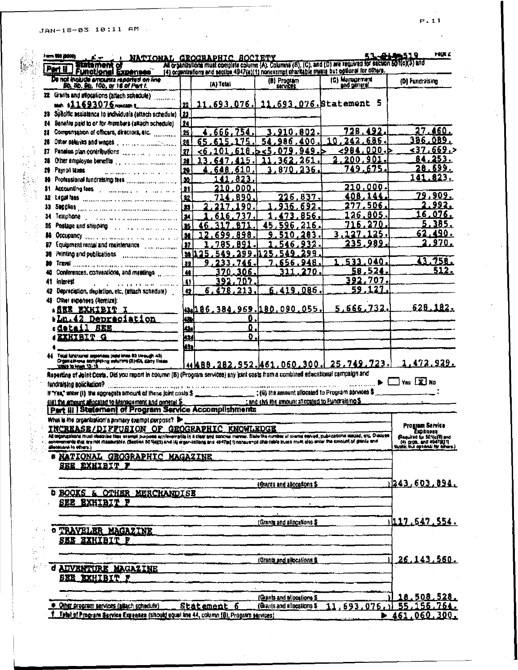JAN-18-03 10:11 AM

l.

| De not include amounts reported on line<br>Bb, 8b, 9b, 10b, or 16 of Part I.<br>(C) Maragement<br>(A) Total<br>22 Grants and atlocations (attach schedule)<br>11,693,076, 11,693.076. Statement 5<br>22<br>sain \$11693076 noncam 1<br>23<br>23 Specific assistance to individuals (attach schedule)<br>Benefits paid to or for members (altach schedule)<br>24<br>24<br>728.492.<br>754<br>Companyation of officers, directors, etc.<br>.666.<br>3.910.802.<br>25<br>Ħ<br>242.686.<br>54.<br>986<br>10.<br>26<br>65<br>175<br>.400<br>615<br>28<br>ط، 200، 984><br>сħ<br>949 b<br>27<br>618<br>-6<br>101<br>079<br>Pension plan contributions contracts and contracts<br>17<br><u> 200.901.</u><br>261<br>28<br>13<br>36<br>28<br>749.675.<br>$\mathbf{a}$<br>870,236,<br>-610<br>З.<br>Payroll taxes<br>648<br>29.<br>.<br>30<br>823<br>41<br>210.000.<br>31<br>- 000<br>Accounting fees and company of the contract of the state of the state of the state of the state of the state of the<br>408,144<br>226.837<br>22<br>890<br>32 Legal fres in community continuous and community<br>277,506<br>692<br>90<br>936<br><b>A3</b><br>126.805<br>856<br>Telephone production and communication of<br>Į34<br>34.<br>-270<br>216<br>716.<br>871<br>45<br>.q<br>85 Postage and shipping contract the contract of the contract of the contract of the contract of the contract of<br>35<br>3.127.125.<br>8<br>98<br>283<br>99<br>M<br>235, <u>989.</u><br>Ħ<br>g<br>87.<br>M<br>38<br>533.040<br>32<br>948<br>746<br>656.<br>m<br><u>58,524.</u><br>270<br>Conterences, conventions, and meetings<br>$\overline{\mathbf{u}}$<br>306<br>392,707.<br>392<br>707<br><i>interest</i><br>Ω<br>41<br>and the company of the company of the company<br>.27.<br>59<br>1<br>6,419,086<br>6.<br>213<br>478.<br>Depreciation, depletion, etc. (attach schedule)<br>$\bullet$<br>48 Other expenses (Hemize):<br>5,666,732.<br>43.186,384,969.180,090,055.<br>I <u>SRE EXHIBIT</u> I<br><u> Ln.42 Depreciation</u><br>0.<br>طعا<br>Ω.<br><u>edetail SEE</u><br>43,<br>O.<br><b>EXHIBIT G</b><br><u>kad</u> | (D) Fundraising<br>27.460.<br>386.OB9.<br>≤37.669.><br><u>84,253.</u><br><u> 28.699.</u><br>141.823.<br>79,909.<br><u>2.992.</u><br>16,076.<br>5.385.<br>62,490.<br>2,970.<br>43,758. |
|---------------------------------------------------------------------------------------------------------------------------------------------------------------------------------------------------------------------------------------------------------------------------------------------------------------------------------------------------------------------------------------------------------------------------------------------------------------------------------------------------------------------------------------------------------------------------------------------------------------------------------------------------------------------------------------------------------------------------------------------------------------------------------------------------------------------------------------------------------------------------------------------------------------------------------------------------------------------------------------------------------------------------------------------------------------------------------------------------------------------------------------------------------------------------------------------------------------------------------------------------------------------------------------------------------------------------------------------------------------------------------------------------------------------------------------------------------------------------------------------------------------------------------------------------------------------------------------------------------------------------------------------------------------------------------------------------------------------------------------------------------------------------------------------------------------------------------------------------------------------------------------------------------------------------------------------------------------------------------------------------------------------------------------------------------------------------------------------|---------------------------------------------------------------------------------------------------------------------------------------------------------------------------------------|
|                                                                                                                                                                                                                                                                                                                                                                                                                                                                                                                                                                                                                                                                                                                                                                                                                                                                                                                                                                                                                                                                                                                                                                                                                                                                                                                                                                                                                                                                                                                                                                                                                                                                                                                                                                                                                                                                                                                                                                                                                                                                                             |                                                                                                                                                                                       |
|                                                                                                                                                                                                                                                                                                                                                                                                                                                                                                                                                                                                                                                                                                                                                                                                                                                                                                                                                                                                                                                                                                                                                                                                                                                                                                                                                                                                                                                                                                                                                                                                                                                                                                                                                                                                                                                                                                                                                                                                                                                                                             |                                                                                                                                                                                       |
|                                                                                                                                                                                                                                                                                                                                                                                                                                                                                                                                                                                                                                                                                                                                                                                                                                                                                                                                                                                                                                                                                                                                                                                                                                                                                                                                                                                                                                                                                                                                                                                                                                                                                                                                                                                                                                                                                                                                                                                                                                                                                             |                                                                                                                                                                                       |
|                                                                                                                                                                                                                                                                                                                                                                                                                                                                                                                                                                                                                                                                                                                                                                                                                                                                                                                                                                                                                                                                                                                                                                                                                                                                                                                                                                                                                                                                                                                                                                                                                                                                                                                                                                                                                                                                                                                                                                                                                                                                                             |                                                                                                                                                                                       |
|                                                                                                                                                                                                                                                                                                                                                                                                                                                                                                                                                                                                                                                                                                                                                                                                                                                                                                                                                                                                                                                                                                                                                                                                                                                                                                                                                                                                                                                                                                                                                                                                                                                                                                                                                                                                                                                                                                                                                                                                                                                                                             |                                                                                                                                                                                       |
|                                                                                                                                                                                                                                                                                                                                                                                                                                                                                                                                                                                                                                                                                                                                                                                                                                                                                                                                                                                                                                                                                                                                                                                                                                                                                                                                                                                                                                                                                                                                                                                                                                                                                                                                                                                                                                                                                                                                                                                                                                                                                             |                                                                                                                                                                                       |
|                                                                                                                                                                                                                                                                                                                                                                                                                                                                                                                                                                                                                                                                                                                                                                                                                                                                                                                                                                                                                                                                                                                                                                                                                                                                                                                                                                                                                                                                                                                                                                                                                                                                                                                                                                                                                                                                                                                                                                                                                                                                                             |                                                                                                                                                                                       |
|                                                                                                                                                                                                                                                                                                                                                                                                                                                                                                                                                                                                                                                                                                                                                                                                                                                                                                                                                                                                                                                                                                                                                                                                                                                                                                                                                                                                                                                                                                                                                                                                                                                                                                                                                                                                                                                                                                                                                                                                                                                                                             |                                                                                                                                                                                       |
|                                                                                                                                                                                                                                                                                                                                                                                                                                                                                                                                                                                                                                                                                                                                                                                                                                                                                                                                                                                                                                                                                                                                                                                                                                                                                                                                                                                                                                                                                                                                                                                                                                                                                                                                                                                                                                                                                                                                                                                                                                                                                             |                                                                                                                                                                                       |
|                                                                                                                                                                                                                                                                                                                                                                                                                                                                                                                                                                                                                                                                                                                                                                                                                                                                                                                                                                                                                                                                                                                                                                                                                                                                                                                                                                                                                                                                                                                                                                                                                                                                                                                                                                                                                                                                                                                                                                                                                                                                                             |                                                                                                                                                                                       |
|                                                                                                                                                                                                                                                                                                                                                                                                                                                                                                                                                                                                                                                                                                                                                                                                                                                                                                                                                                                                                                                                                                                                                                                                                                                                                                                                                                                                                                                                                                                                                                                                                                                                                                                                                                                                                                                                                                                                                                                                                                                                                             |                                                                                                                                                                                       |
|                                                                                                                                                                                                                                                                                                                                                                                                                                                                                                                                                                                                                                                                                                                                                                                                                                                                                                                                                                                                                                                                                                                                                                                                                                                                                                                                                                                                                                                                                                                                                                                                                                                                                                                                                                                                                                                                                                                                                                                                                                                                                             |                                                                                                                                                                                       |
|                                                                                                                                                                                                                                                                                                                                                                                                                                                                                                                                                                                                                                                                                                                                                                                                                                                                                                                                                                                                                                                                                                                                                                                                                                                                                                                                                                                                                                                                                                                                                                                                                                                                                                                                                                                                                                                                                                                                                                                                                                                                                             |                                                                                                                                                                                       |
|                                                                                                                                                                                                                                                                                                                                                                                                                                                                                                                                                                                                                                                                                                                                                                                                                                                                                                                                                                                                                                                                                                                                                                                                                                                                                                                                                                                                                                                                                                                                                                                                                                                                                                                                                                                                                                                                                                                                                                                                                                                                                             |                                                                                                                                                                                       |
|                                                                                                                                                                                                                                                                                                                                                                                                                                                                                                                                                                                                                                                                                                                                                                                                                                                                                                                                                                                                                                                                                                                                                                                                                                                                                                                                                                                                                                                                                                                                                                                                                                                                                                                                                                                                                                                                                                                                                                                                                                                                                             |                                                                                                                                                                                       |
|                                                                                                                                                                                                                                                                                                                                                                                                                                                                                                                                                                                                                                                                                                                                                                                                                                                                                                                                                                                                                                                                                                                                                                                                                                                                                                                                                                                                                                                                                                                                                                                                                                                                                                                                                                                                                                                                                                                                                                                                                                                                                             |                                                                                                                                                                                       |
|                                                                                                                                                                                                                                                                                                                                                                                                                                                                                                                                                                                                                                                                                                                                                                                                                                                                                                                                                                                                                                                                                                                                                                                                                                                                                                                                                                                                                                                                                                                                                                                                                                                                                                                                                                                                                                                                                                                                                                                                                                                                                             |                                                                                                                                                                                       |
|                                                                                                                                                                                                                                                                                                                                                                                                                                                                                                                                                                                                                                                                                                                                                                                                                                                                                                                                                                                                                                                                                                                                                                                                                                                                                                                                                                                                                                                                                                                                                                                                                                                                                                                                                                                                                                                                                                                                                                                                                                                                                             |                                                                                                                                                                                       |
|                                                                                                                                                                                                                                                                                                                                                                                                                                                                                                                                                                                                                                                                                                                                                                                                                                                                                                                                                                                                                                                                                                                                                                                                                                                                                                                                                                                                                                                                                                                                                                                                                                                                                                                                                                                                                                                                                                                                                                                                                                                                                             |                                                                                                                                                                                       |
|                                                                                                                                                                                                                                                                                                                                                                                                                                                                                                                                                                                                                                                                                                                                                                                                                                                                                                                                                                                                                                                                                                                                                                                                                                                                                                                                                                                                                                                                                                                                                                                                                                                                                                                                                                                                                                                                                                                                                                                                                                                                                             | 512.                                                                                                                                                                                  |
|                                                                                                                                                                                                                                                                                                                                                                                                                                                                                                                                                                                                                                                                                                                                                                                                                                                                                                                                                                                                                                                                                                                                                                                                                                                                                                                                                                                                                                                                                                                                                                                                                                                                                                                                                                                                                                                                                                                                                                                                                                                                                             |                                                                                                                                                                                       |
|                                                                                                                                                                                                                                                                                                                                                                                                                                                                                                                                                                                                                                                                                                                                                                                                                                                                                                                                                                                                                                                                                                                                                                                                                                                                                                                                                                                                                                                                                                                                                                                                                                                                                                                                                                                                                                                                                                                                                                                                                                                                                             |                                                                                                                                                                                       |
|                                                                                                                                                                                                                                                                                                                                                                                                                                                                                                                                                                                                                                                                                                                                                                                                                                                                                                                                                                                                                                                                                                                                                                                                                                                                                                                                                                                                                                                                                                                                                                                                                                                                                                                                                                                                                                                                                                                                                                                                                                                                                             |                                                                                                                                                                                       |
|                                                                                                                                                                                                                                                                                                                                                                                                                                                                                                                                                                                                                                                                                                                                                                                                                                                                                                                                                                                                                                                                                                                                                                                                                                                                                                                                                                                                                                                                                                                                                                                                                                                                                                                                                                                                                                                                                                                                                                                                                                                                                             | <u>628.182.</u>                                                                                                                                                                       |
|                                                                                                                                                                                                                                                                                                                                                                                                                                                                                                                                                                                                                                                                                                                                                                                                                                                                                                                                                                                                                                                                                                                                                                                                                                                                                                                                                                                                                                                                                                                                                                                                                                                                                                                                                                                                                                                                                                                                                                                                                                                                                             |                                                                                                                                                                                       |
|                                                                                                                                                                                                                                                                                                                                                                                                                                                                                                                                                                                                                                                                                                                                                                                                                                                                                                                                                                                                                                                                                                                                                                                                                                                                                                                                                                                                                                                                                                                                                                                                                                                                                                                                                                                                                                                                                                                                                                                                                                                                                             |                                                                                                                                                                                       |
|                                                                                                                                                                                                                                                                                                                                                                                                                                                                                                                                                                                                                                                                                                                                                                                                                                                                                                                                                                                                                                                                                                                                                                                                                                                                                                                                                                                                                                                                                                                                                                                                                                                                                                                                                                                                                                                                                                                                                                                                                                                                                             |                                                                                                                                                                                       |
| <u>kse</u>                                                                                                                                                                                                                                                                                                                                                                                                                                                                                                                                                                                                                                                                                                                                                                                                                                                                                                                                                                                                                                                                                                                                                                                                                                                                                                                                                                                                                                                                                                                                                                                                                                                                                                                                                                                                                                                                                                                                                                                                                                                                                  |                                                                                                                                                                                       |
|                                                                                                                                                                                                                                                                                                                                                                                                                                                                                                                                                                                                                                                                                                                                                                                                                                                                                                                                                                                                                                                                                                                                                                                                                                                                                                                                                                                                                                                                                                                                                                                                                                                                                                                                                                                                                                                                                                                                                                                                                                                                                             |                                                                                                                                                                                       |
| <u>***88.282.952.461.060.300. 25.749.723.</u>                                                                                                                                                                                                                                                                                                                                                                                                                                                                                                                                                                                                                                                                                                                                                                                                                                                                                                                                                                                                                                                                                                                                                                                                                                                                                                                                                                                                                                                                                                                                                                                                                                                                                                                                                                                                                                                                                                                                                                                                                                               | 1.472,929.                                                                                                                                                                            |
| Reporting of Joint Costs. Did you report in column (8) (Program services) any joint costs from a combined educational campaign and                                                                                                                                                                                                                                                                                                                                                                                                                                                                                                                                                                                                                                                                                                                                                                                                                                                                                                                                                                                                                                                                                                                                                                                                                                                                                                                                                                                                                                                                                                                                                                                                                                                                                                                                                                                                                                                                                                                                                          |                                                                                                                                                                                       |
| fundraising solicitation?                                                                                                                                                                                                                                                                                                                                                                                                                                                                                                                                                                                                                                                                                                                                                                                                                                                                                                                                                                                                                                                                                                                                                                                                                                                                                                                                                                                                                                                                                                                                                                                                                                                                                                                                                                                                                                                                                                                                                                                                                                                                   | $\blacktriangleright$ $\Box$ Yes $\Box$ No                                                                                                                                            |
|                                                                                                                                                                                                                                                                                                                                                                                                                                                                                                                                                                                                                                                                                                                                                                                                                                                                                                                                                                                                                                                                                                                                                                                                                                                                                                                                                                                                                                                                                                                                                                                                                                                                                                                                                                                                                                                                                                                                                                                                                                                                                             |                                                                                                                                                                                       |
| : and this the amount allocated to Fundraising \$<br>(iii) the amount allocated to Margas ment and general \$                                                                                                                                                                                                                                                                                                                                                                                                                                                                                                                                                                                                                                                                                                                                                                                                                                                                                                                                                                                                                                                                                                                                                                                                                                                                                                                                                                                                                                                                                                                                                                                                                                                                                                                                                                                                                                                                                                                                                                               |                                                                                                                                                                                       |
| Part III Statement of Program Service Accomplishments                                                                                                                                                                                                                                                                                                                                                                                                                                                                                                                                                                                                                                                                                                                                                                                                                                                                                                                                                                                                                                                                                                                                                                                                                                                                                                                                                                                                                                                                                                                                                                                                                                                                                                                                                                                                                                                                                                                                                                                                                                       |                                                                                                                                                                                       |
| What is the proanization's primary exempt purpose?                                                                                                                                                                                                                                                                                                                                                                                                                                                                                                                                                                                                                                                                                                                                                                                                                                                                                                                                                                                                                                                                                                                                                                                                                                                                                                                                                                                                                                                                                                                                                                                                                                                                                                                                                                                                                                                                                                                                                                                                                                          |                                                                                                                                                                                       |
| INCREASE/DIFFUSION OF GEOGRAPHIC KNOWLEDGE                                                                                                                                                                                                                                                                                                                                                                                                                                                                                                                                                                                                                                                                                                                                                                                                                                                                                                                                                                                                                                                                                                                                                                                                                                                                                                                                                                                                                                                                                                                                                                                                                                                                                                                                                                                                                                                                                                                                                                                                                                                  | Program Service<br>Expenses                                                                                                                                                           |
| All croanizations must clear the exempt purpose achievements in a clear and conclus manner. State the number of cleanis earlyed, publications secured, etc. Discuss                                                                                                                                                                                                                                                                                                                                                                                                                                                                                                                                                                                                                                                                                                                                                                                                                                                                                                                                                                                                                                                                                                                                                                                                                                                                                                                                                                                                                                                                                                                                                                                                                                                                                                                                                                                                                                                                                                                         | (Required by SONCIA) and                                                                                                                                                              |
| schavements that are not meanwable. (Socien 50 Uegs) and (4) organizations and 4047pd (separatorial chain mode muse must also enter the smount of graniz and<br>steccione to others ;                                                                                                                                                                                                                                                                                                                                                                                                                                                                                                                                                                                                                                                                                                                                                                                                                                                                                                                                                                                                                                                                                                                                                                                                                                                                                                                                                                                                                                                                                                                                                                                                                                                                                                                                                                                                                                                                                                       | (4) DrDS. and 4947(811)<br>Shrate: but optional for elitera.)                                                                                                                         |
| <b>. NATIONAL GEOGRAPHIC MAGAZINE</b>                                                                                                                                                                                                                                                                                                                                                                                                                                                                                                                                                                                                                                                                                                                                                                                                                                                                                                                                                                                                                                                                                                                                                                                                                                                                                                                                                                                                                                                                                                                                                                                                                                                                                                                                                                                                                                                                                                                                                                                                                                                       |                                                                                                                                                                                       |
| SEE EXHIBIT F                                                                                                                                                                                                                                                                                                                                                                                                                                                                                                                                                                                                                                                                                                                                                                                                                                                                                                                                                                                                                                                                                                                                                                                                                                                                                                                                                                                                                                                                                                                                                                                                                                                                                                                                                                                                                                                                                                                                                                                                                                                                               |                                                                                                                                                                                       |
|                                                                                                                                                                                                                                                                                                                                                                                                                                                                                                                                                                                                                                                                                                                                                                                                                                                                                                                                                                                                                                                                                                                                                                                                                                                                                                                                                                                                                                                                                                                                                                                                                                                                                                                                                                                                                                                                                                                                                                                                                                                                                             |                                                                                                                                                                                       |
| (Grants and allocations \$                                                                                                                                                                                                                                                                                                                                                                                                                                                                                                                                                                                                                                                                                                                                                                                                                                                                                                                                                                                                                                                                                                                                                                                                                                                                                                                                                                                                                                                                                                                                                                                                                                                                                                                                                                                                                                                                                                                                                                                                                                                                  | $\sqrt{243.603.894}$                                                                                                                                                                  |
| <b>b BOOKS &amp; OTHER MERCHANDISE</b>                                                                                                                                                                                                                                                                                                                                                                                                                                                                                                                                                                                                                                                                                                                                                                                                                                                                                                                                                                                                                                                                                                                                                                                                                                                                                                                                                                                                                                                                                                                                                                                                                                                                                                                                                                                                                                                                                                                                                                                                                                                      |                                                                                                                                                                                       |
| SEE EXHIBIT F                                                                                                                                                                                                                                                                                                                                                                                                                                                                                                                                                                                                                                                                                                                                                                                                                                                                                                                                                                                                                                                                                                                                                                                                                                                                                                                                                                                                                                                                                                                                                                                                                                                                                                                                                                                                                                                                                                                                                                                                                                                                               |                                                                                                                                                                                       |
|                                                                                                                                                                                                                                                                                                                                                                                                                                                                                                                                                                                                                                                                                                                                                                                                                                                                                                                                                                                                                                                                                                                                                                                                                                                                                                                                                                                                                                                                                                                                                                                                                                                                                                                                                                                                                                                                                                                                                                                                                                                                                             |                                                                                                                                                                                       |
| (Grants and allocations S                                                                                                                                                                                                                                                                                                                                                                                                                                                                                                                                                                                                                                                                                                                                                                                                                                                                                                                                                                                                                                                                                                                                                                                                                                                                                                                                                                                                                                                                                                                                                                                                                                                                                                                                                                                                                                                                                                                                                                                                                                                                   | <u>117.647.554.</u>                                                                                                                                                                   |
| TRAVELER MAGAZINE<br>0                                                                                                                                                                                                                                                                                                                                                                                                                                                                                                                                                                                                                                                                                                                                                                                                                                                                                                                                                                                                                                                                                                                                                                                                                                                                                                                                                                                                                                                                                                                                                                                                                                                                                                                                                                                                                                                                                                                                                                                                                                                                      |                                                                                                                                                                                       |
| <b>EXHIBIT</b><br>F<br>5EE.                                                                                                                                                                                                                                                                                                                                                                                                                                                                                                                                                                                                                                                                                                                                                                                                                                                                                                                                                                                                                                                                                                                                                                                                                                                                                                                                                                                                                                                                                                                                                                                                                                                                                                                                                                                                                                                                                                                                                                                                                                                                 |                                                                                                                                                                                       |
|                                                                                                                                                                                                                                                                                                                                                                                                                                                                                                                                                                                                                                                                                                                                                                                                                                                                                                                                                                                                                                                                                                                                                                                                                                                                                                                                                                                                                                                                                                                                                                                                                                                                                                                                                                                                                                                                                                                                                                                                                                                                                             |                                                                                                                                                                                       |
|                                                                                                                                                                                                                                                                                                                                                                                                                                                                                                                                                                                                                                                                                                                                                                                                                                                                                                                                                                                                                                                                                                                                                                                                                                                                                                                                                                                                                                                                                                                                                                                                                                                                                                                                                                                                                                                                                                                                                                                                                                                                                             |                                                                                                                                                                                       |
|                                                                                                                                                                                                                                                                                                                                                                                                                                                                                                                                                                                                                                                                                                                                                                                                                                                                                                                                                                                                                                                                                                                                                                                                                                                                                                                                                                                                                                                                                                                                                                                                                                                                                                                                                                                                                                                                                                                                                                                                                                                                                             |                                                                                                                                                                                       |
| (Oranta and allocations \$                                                                                                                                                                                                                                                                                                                                                                                                                                                                                                                                                                                                                                                                                                                                                                                                                                                                                                                                                                                                                                                                                                                                                                                                                                                                                                                                                                                                                                                                                                                                                                                                                                                                                                                                                                                                                                                                                                                                                                                                                                                                  | <u> 26,143,560.</u>                                                                                                                                                                   |
| <b>d ADVENTURE MAGAZINE</b>                                                                                                                                                                                                                                                                                                                                                                                                                                                                                                                                                                                                                                                                                                                                                                                                                                                                                                                                                                                                                                                                                                                                                                                                                                                                                                                                                                                                                                                                                                                                                                                                                                                                                                                                                                                                                                                                                                                                                                                                                                                                 |                                                                                                                                                                                       |
| <b>SEE EXHIBIT F</b>                                                                                                                                                                                                                                                                                                                                                                                                                                                                                                                                                                                                                                                                                                                                                                                                                                                                                                                                                                                                                                                                                                                                                                                                                                                                                                                                                                                                                                                                                                                                                                                                                                                                                                                                                                                                                                                                                                                                                                                                                                                                        |                                                                                                                                                                                       |
| (Grants and allocations 5                                                                                                                                                                                                                                                                                                                                                                                                                                                                                                                                                                                                                                                                                                                                                                                                                                                                                                                                                                                                                                                                                                                                                                                                                                                                                                                                                                                                                                                                                                                                                                                                                                                                                                                                                                                                                                                                                                                                                                                                                                                                   | <u>18.508.528.</u>                                                                                                                                                                    |

p.

 $P = 11$